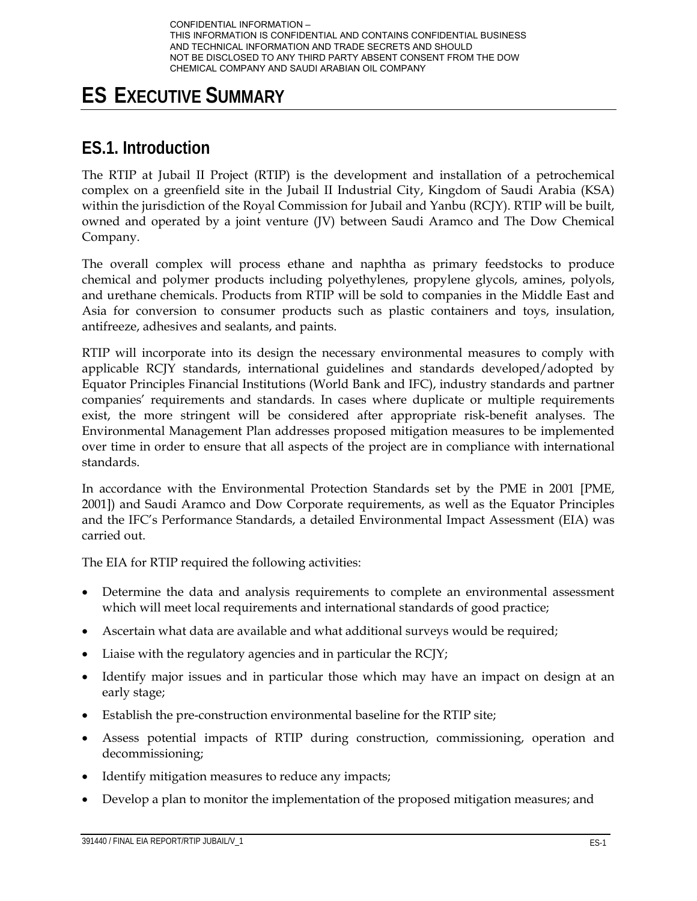# **ES EXECUTIVE SUMMARY**

# **ES.1. Introduction**

The RTIP at Jubail II Project (RTIP) is the development and installation of a petrochemical complex on a greenfield site in the Jubail II Industrial City, Kingdom of Saudi Arabia (KSA) within the jurisdiction of the Royal Commission for Jubail and Yanbu (RCJY). RTIP will be built, owned and operated by a joint venture (JV) between Saudi Aramco and The Dow Chemical Company.

The overall complex will process ethane and naphtha as primary feedstocks to produce chemical and polymer products including polyethylenes, propylene glycols, amines, polyols, and urethane chemicals. Products from RTIP will be sold to companies in the Middle East and Asia for conversion to consumer products such as plastic containers and toys, insulation, antifreeze, adhesives and sealants, and paints.

RTIP will incorporate into its design the necessary environmental measures to comply with applicable RCJY standards, international guidelines and standards developed/adopted by Equator Principles Financial Institutions (World Bank and IFC), industry standards and partner companies' requirements and standards. In cases where duplicate or multiple requirements exist, the more stringent will be considered after appropriate risk-benefit analyses. The Environmental Management Plan addresses proposed mitigation measures to be implemented over time in order to ensure that all aspects of the project are in compliance with international standards.

In accordance with the Environmental Protection Standards set by the PME in 2001 [PME, 2001]) and Saudi Aramco and Dow Corporate requirements, as well as the Equator Principles and the IFC's Performance Standards, a detailed Environmental Impact Assessment (EIA) was carried out.

The EIA for RTIP required the following activities:

- Determine the data and analysis requirements to complete an environmental assessment which will meet local requirements and international standards of good practice;
- Ascertain what data are available and what additional surveys would be required;
- Liaise with the regulatory agencies and in particular the RCJY;
- Identify major issues and in particular those which may have an impact on design at an early stage;
- Establish the pre-construction environmental baseline for the RTIP site;
- Assess potential impacts of RTIP during construction, commissioning, operation and decommissioning;
- Identify mitigation measures to reduce any impacts;
- Develop a plan to monitor the implementation of the proposed mitigation measures; and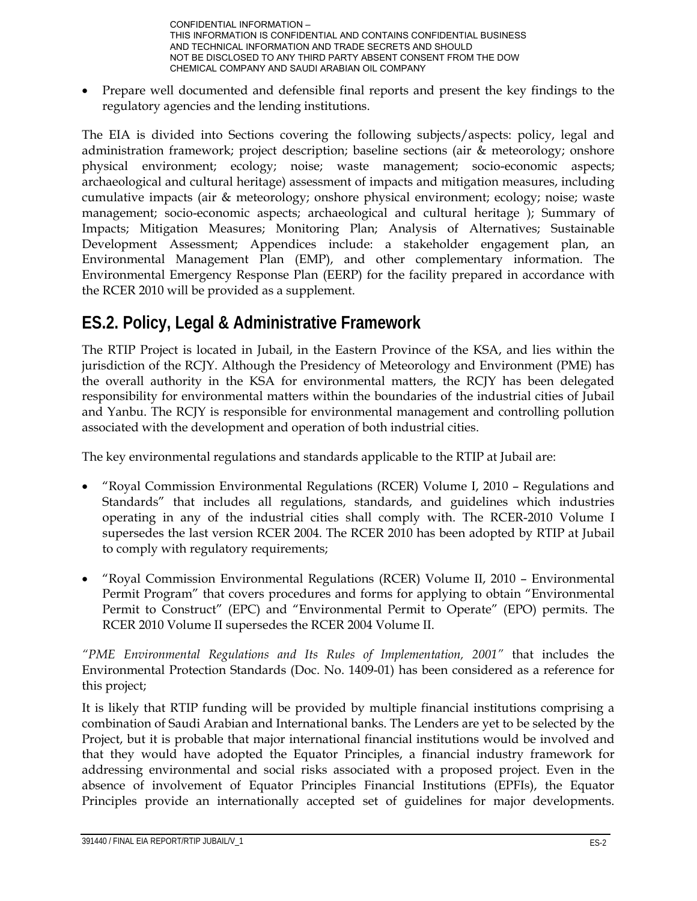Prepare well documented and defensible final reports and present the key findings to the regulatory agencies and the lending institutions.

The EIA is divided into Sections covering the following subjects/aspects: policy, legal and administration framework; project description; baseline sections (air & meteorology; onshore physical environment; ecology; noise; waste management; socio-economic aspects; archaeological and cultural heritage) assessment of impacts and mitigation measures, including cumulative impacts (air & meteorology; onshore physical environment; ecology; noise; waste management; socio-economic aspects; archaeological and cultural heritage ); Summary of Impacts; Mitigation Measures; Monitoring Plan; Analysis of Alternatives; Sustainable Development Assessment; Appendices include: a stakeholder engagement plan, an Environmental Management Plan (EMP), and other complementary information. The Environmental Emergency Response Plan (EERP) for the facility prepared in accordance with the RCER 2010 will be provided as a supplement.

# **ES.2. Policy, Legal & Administrative Framework**

The RTIP Project is located in Jubail, in the Eastern Province of the KSA, and lies within the jurisdiction of the RCJY. Although the Presidency of Meteorology and Environment (PME) has the overall authority in the KSA for environmental matters, the RCJY has been delegated responsibility for environmental matters within the boundaries of the industrial cities of Jubail and Yanbu. The RCJY is responsible for environmental management and controlling pollution associated with the development and operation of both industrial cities.

The key environmental regulations and standards applicable to the RTIP at Jubail are:

- "Royal Commission Environmental Regulations (RCER) Volume I, 2010 Regulations and Standards" that includes all regulations, standards, and guidelines which industries operating in any of the industrial cities shall comply with. The RCER-2010 Volume I supersedes the last version RCER 2004. The RCER 2010 has been adopted by RTIP at Jubail to comply with regulatory requirements;
- "Royal Commission Environmental Regulations (RCER) Volume II, 2010 Environmental Permit Program" that covers procedures and forms for applying to obtain "Environmental Permit to Construct" (EPC) and "Environmental Permit to Operate" (EPO) permits. The RCER 2010 Volume II supersedes the RCER 2004 Volume II.

*"PME Environmental Regulations and Its Rules of Implementation, 2001"* that includes the Environmental Protection Standards (Doc. No. 1409-01) has been considered as a reference for this project;

It is likely that RTIP funding will be provided by multiple financial institutions comprising a combination of Saudi Arabian and International banks. The Lenders are yet to be selected by the Project, but it is probable that major international financial institutions would be involved and that they would have adopted the Equator Principles, a financial industry framework for addressing environmental and social risks associated with a proposed project. Even in the absence of involvement of Equator Principles Financial Institutions (EPFIs), the Equator Principles provide an internationally accepted set of guidelines for major developments.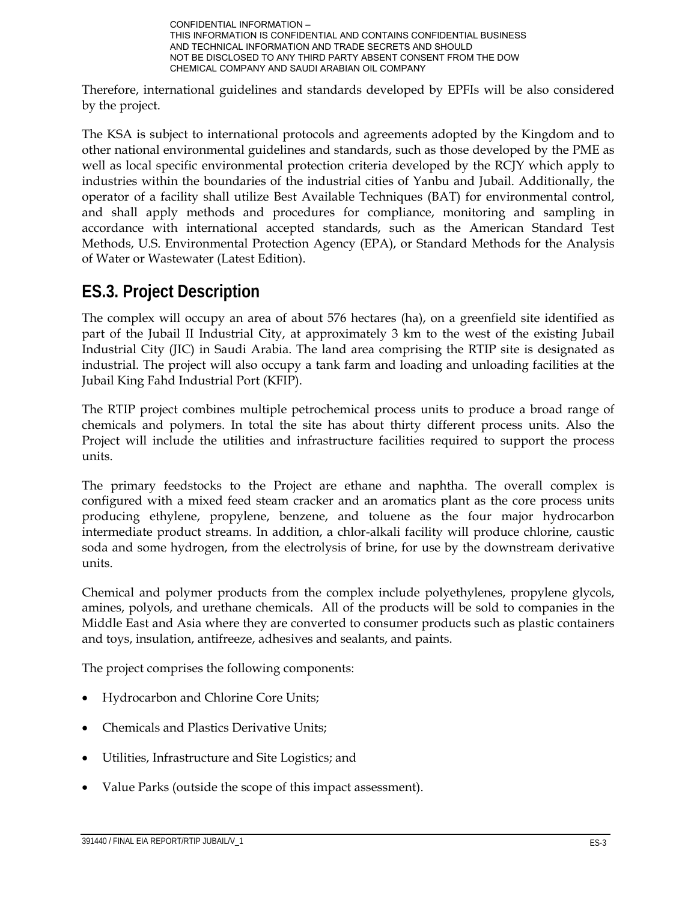

Therefore, international guidelines and standards developed by EPFIs will be also considered by the project.

The KSA is subject to international protocols and agreements adopted by the Kingdom and to other national environmental guidelines and standards, such as those developed by the PME as well as local specific environmental protection criteria developed by the RCJY which apply to industries within the boundaries of the industrial cities of Yanbu and Jubail. Additionally, the operator of a facility shall utilize Best Available Techniques (BAT) for environmental control, and shall apply methods and procedures for compliance, monitoring and sampling in accordance with international accepted standards, such as the American Standard Test Methods, U.S. Environmental Protection Agency (EPA), or Standard Methods for the Analysis of Water or Wastewater (Latest Edition).

# **ES.3. Project Description**

The complex will occupy an area of about 576 hectares (ha), on a greenfield site identified as part of the Jubail II Industrial City, at approximately 3 km to the west of the existing Jubail Industrial City (JIC) in Saudi Arabia. The land area comprising the RTIP site is designated as industrial. The project will also occupy a tank farm and loading and unloading facilities at the Jubail King Fahd Industrial Port (KFIP).

The RTIP project combines multiple petrochemical process units to produce a broad range of chemicals and polymers. In total the site has about thirty different process units. Also the Project will include the utilities and infrastructure facilities required to support the process units.

The primary feedstocks to the Project are ethane and naphtha. The overall complex is configured with a mixed feed steam cracker and an aromatics plant as the core process units producing ethylene, propylene, benzene, and toluene as the four major hydrocarbon intermediate product streams. In addition, a chlor-alkali facility will produce chlorine, caustic soda and some hydrogen, from the electrolysis of brine, for use by the downstream derivative units.

Chemical and polymer products from the complex include polyethylenes, propylene glycols, amines, polyols, and urethane chemicals. All of the products will be sold to companies in the Middle East and Asia where they are converted to consumer products such as plastic containers and toys, insulation, antifreeze, adhesives and sealants, and paints.

The project comprises the following components:

- Hydrocarbon and Chlorine Core Units;
- Chemicals and Plastics Derivative Units;
- Utilities, Infrastructure and Site Logistics; and
- Value Parks (outside the scope of this impact assessment).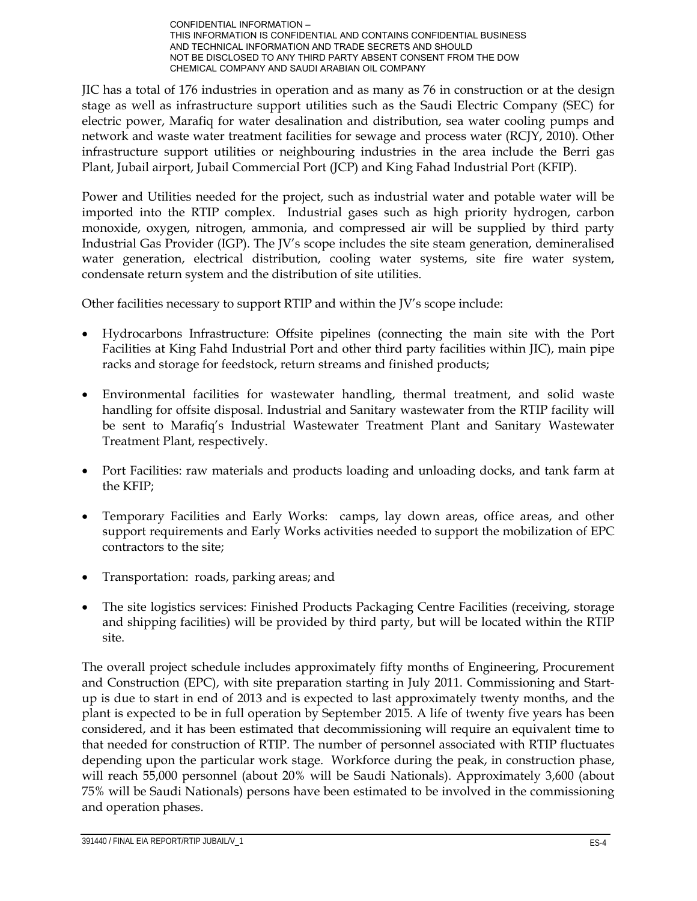JIC has a total of 176 industries in operation and as many as 76 in construction or at the design stage as well as infrastructure support utilities such as the Saudi Electric Company (SEC) for electric power, Marafiq for water desalination and distribution, sea water cooling pumps and network and waste water treatment facilities for sewage and process water (RCJY, 2010). Other infrastructure support utilities or neighbouring industries in the area include the Berri gas Plant, Jubail airport, Jubail Commercial Port (JCP) and King Fahad Industrial Port (KFIP).

Power and Utilities needed for the project, such as industrial water and potable water will be imported into the RTIP complex. Industrial gases such as high priority hydrogen, carbon monoxide, oxygen, nitrogen, ammonia, and compressed air will be supplied by third party Industrial Gas Provider (IGP). The JV's scope includes the site steam generation, demineralised water generation, electrical distribution, cooling water systems, site fire water system, condensate return system and the distribution of site utilities.

Other facilities necessary to support RTIP and within the JV's scope include:

- Hydrocarbons Infrastructure: Offsite pipelines (connecting the main site with the Port Facilities at King Fahd Industrial Port and other third party facilities within JIC), main pipe racks and storage for feedstock, return streams and finished products;
- Environmental facilities for wastewater handling, thermal treatment, and solid waste handling for offsite disposal. Industrial and Sanitary wastewater from the RTIP facility will be sent to Marafiq's Industrial Wastewater Treatment Plant and Sanitary Wastewater Treatment Plant, respectively.
- Port Facilities: raw materials and products loading and unloading docks, and tank farm at the KFIP;
- Temporary Facilities and Early Works: camps, lay down areas, office areas, and other support requirements and Early Works activities needed to support the mobilization of EPC contractors to the site;
- Transportation: roads, parking areas; and
- The site logistics services: Finished Products Packaging Centre Facilities (receiving, storage and shipping facilities) will be provided by third party, but will be located within the RTIP site.

The overall project schedule includes approximately fifty months of Engineering, Procurement and Construction (EPC), with site preparation starting in July 2011. Commissioning and Startup is due to start in end of 2013 and is expected to last approximately twenty months, and the plant is expected to be in full operation by September 2015. A life of twenty five years has been considered, and it has been estimated that decommissioning will require an equivalent time to that needed for construction of RTIP. The number of personnel associated with RTIP fluctuates depending upon the particular work stage. Workforce during the peak, in construction phase, will reach 55,000 personnel (about 20% will be Saudi Nationals). Approximately 3,600 (about 75% will be Saudi Nationals) persons have been estimated to be involved in the commissioning and operation phases.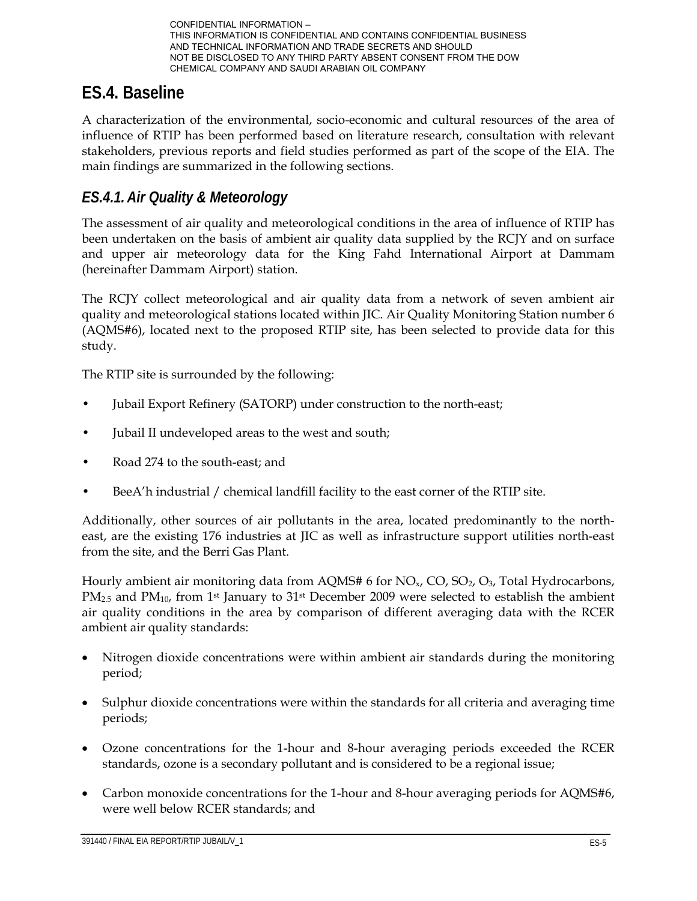# **ES.4. Baseline**

A characterization of the environmental, socio-economic and cultural resources of the area of influence of RTIP has been performed based on literature research, consultation with relevant stakeholders, previous reports and field studies performed as part of the scope of the EIA. The main findings are summarized in the following sections.

#### *ES.4.1.Air Quality & Meteorology*

The assessment of air quality and meteorological conditions in the area of influence of RTIP has been undertaken on the basis of ambient air quality data supplied by the RCJY and on surface and upper air meteorology data for the King Fahd International Airport at Dammam (hereinafter Dammam Airport) station.

The RCJY collect meteorological and air quality data from a network of seven ambient air quality and meteorological stations located within JIC. Air Quality Monitoring Station number 6 (AQMS#6), located next to the proposed RTIP site, has been selected to provide data for this study.

The RTIP site is surrounded by the following:

- Jubail Export Refinery (SATORP) under construction to the north-east;
- Jubail II undeveloped areas to the west and south;
- Road 274 to the south-east; and
- BeeA'h industrial / chemical landfill facility to the east corner of the RTIP site.

Additionally, other sources of air pollutants in the area, located predominantly to the northeast, are the existing 176 industries at JIC as well as infrastructure support utilities north-east from the site, and the Berri Gas Plant.

Hourly ambient air monitoring data from AQMS# 6 for  $NO<sub>x</sub>$ ,  $CO$ ,  $SO<sub>2</sub>$ ,  $O<sub>3</sub>$ , Total Hydrocarbons,  $PM_{2.5}$  and  $PM_{10}$ , from 1<sup>st</sup> January to 31<sup>st</sup> December 2009 were selected to establish the ambient air quality conditions in the area by comparison of different averaging data with the RCER ambient air quality standards:

- Nitrogen dioxide concentrations were within ambient air standards during the monitoring period;
- Sulphur dioxide concentrations were within the standards for all criteria and averaging time periods;
- Ozone concentrations for the 1-hour and 8-hour averaging periods exceeded the RCER standards, ozone is a secondary pollutant and is considered to be a regional issue;
- Carbon monoxide concentrations for the 1-hour and 8-hour averaging periods for AQMS#6, were well below RCER standards; and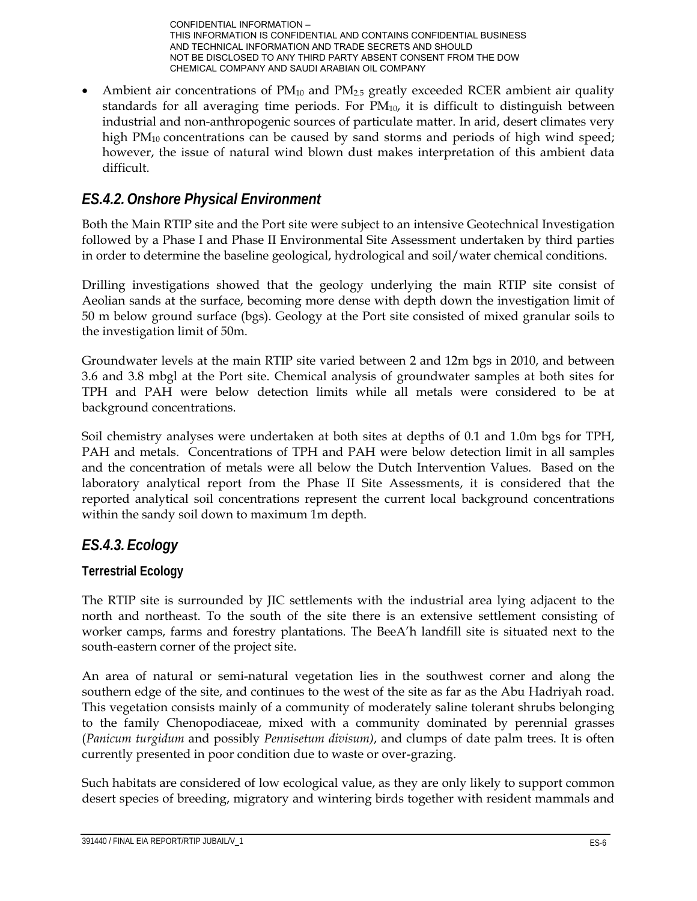• Ambient air concentrations of  $PM_{10}$  and  $PM_{2.5}$  greatly exceeded RCER ambient air quality standards for all averaging time periods. For  $PM_{10}$ , it is difficult to distinguish between industrial and non-anthropogenic sources of particulate matter. In arid, desert climates very high  $PM_{10}$  concentrations can be caused by sand storms and periods of high wind speed; however, the issue of natural wind blown dust makes interpretation of this ambient data difficult.

## *ES.4.2.Onshore Physical Environment*

Both the Main RTIP site and the Port site were subject to an intensive Geotechnical Investigation followed by a Phase I and Phase II Environmental Site Assessment undertaken by third parties in order to determine the baseline geological, hydrological and soil/water chemical conditions.

Drilling investigations showed that the geology underlying the main RTIP site consist of Aeolian sands at the surface, becoming more dense with depth down the investigation limit of 50 m below ground surface (bgs). Geology at the Port site consisted of mixed granular soils to the investigation limit of 50m.

Groundwater levels at the main RTIP site varied between 2 and 12m bgs in 2010, and between 3.6 and 3.8 mbgl at the Port site. Chemical analysis of groundwater samples at both sites for TPH and PAH were below detection limits while all metals were considered to be at background concentrations.

Soil chemistry analyses were undertaken at both sites at depths of 0.1 and 1.0m bgs for TPH, PAH and metals. Concentrations of TPH and PAH were below detection limit in all samples and the concentration of metals were all below the Dutch Intervention Values. Based on the laboratory analytical report from the Phase II Site Assessments, it is considered that the reported analytical soil concentrations represent the current local background concentrations within the sandy soil down to maximum 1m depth.

## *ES.4.3. Ecology*

#### **Terrestrial Ecology**

The RTIP site is surrounded by JIC settlements with the industrial area lying adjacent to the north and northeast. To the south of the site there is an extensive settlement consisting of worker camps, farms and forestry plantations. The BeeA'h landfill site is situated next to the south-eastern corner of the project site.

An area of natural or semi-natural vegetation lies in the southwest corner and along the southern edge of the site, and continues to the west of the site as far as the Abu Hadriyah road. This vegetation consists mainly of a community of moderately saline tolerant shrubs belonging to the family Chenopodiaceae, mixed with a community dominated by perennial grasses (*Panicum turgidum* and possibly *Pennisetum divisum)*, and clumps of date palm trees. It is often currently presented in poor condition due to waste or over-grazing.

Such habitats are considered of low ecological value, as they are only likely to support common desert species of breeding, migratory and wintering birds together with resident mammals and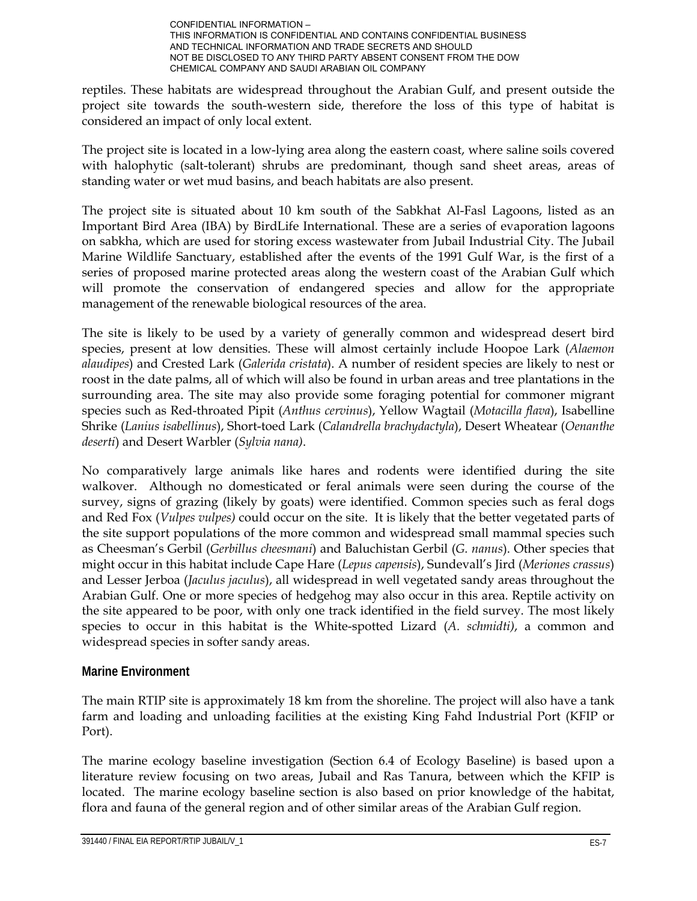reptiles. These habitats are widespread throughout the Arabian Gulf, and present outside the project site towards the south-western side, therefore the loss of this type of habitat is considered an impact of only local extent.

The project site is located in a low-lying area along the eastern coast, where saline soils covered with halophytic (salt-tolerant) shrubs are predominant, though sand sheet areas, areas of standing water or wet mud basins, and beach habitats are also present.

The project site is situated about 10 km south of the Sabkhat Al-Fasl Lagoons, listed as an Important Bird Area (IBA) by BirdLife International. These are a series of evaporation lagoons on sabkha, which are used for storing excess wastewater from Jubail Industrial City. The Jubail Marine Wildlife Sanctuary, established after the events of the 1991 Gulf War, is the first of a series of proposed marine protected areas along the western coast of the Arabian Gulf which will promote the conservation of endangered species and allow for the appropriate management of the renewable biological resources of the area.

The site is likely to be used by a variety of generally common and widespread desert bird species, present at low densities. These will almost certainly include Hoopoe Lark (*Alaemon alaudipes*) and Crested Lark (*Galerida cristata*). A number of resident species are likely to nest or roost in the date palms, all of which will also be found in urban areas and tree plantations in the surrounding area. The site may also provide some foraging potential for commoner migrant species such as Red-throated Pipit (*Anthus cervinus*), Yellow Wagtail (*Motacilla flava*), Isabelline Shrike (*Lanius isabellinus*), Short-toed Lark (*Calandrella brachydactyla*), Desert Wheatear (*Oenanthe deserti*) and Desert Warbler (*Sylvia nana)*.

No comparatively large animals like hares and rodents were identified during the site walkover. Although no domesticated or feral animals were seen during the course of the survey, signs of grazing (likely by goats) were identified. Common species such as feral dogs and Red Fox (*Vulpes vulpes)* could occur on the site. It is likely that the better vegetated parts of the site support populations of the more common and widespread small mammal species such as Cheesman's Gerbil (*Gerbillus cheesmani*) and Baluchistan Gerbil (*G. nanus*). Other species that might occur in this habitat include Cape Hare (*Lepus capensis*), Sundevall's Jird (*Meriones crassus*) and Lesser Jerboa (*Jaculus jaculus*), all widespread in well vegetated sandy areas throughout the Arabian Gulf. One or more species of hedgehog may also occur in this area. Reptile activity on the site appeared to be poor, with only one track identified in the field survey. The most likely species to occur in this habitat is the White-spotted Lizard (*A. schmidti)*, a common and widespread species in softer sandy areas.

#### **Marine Environment**

The main RTIP site is approximately 18 km from the shoreline. The project will also have a tank farm and loading and unloading facilities at the existing King Fahd Industrial Port (KFIP or Port).

The marine ecology baseline investigation (Section 6.4 of Ecology Baseline) is based upon a literature review focusing on two areas, Jubail and Ras Tanura, between which the KFIP is located. The marine ecology baseline section is also based on prior knowledge of the habitat, flora and fauna of the general region and of other similar areas of the Arabian Gulf region.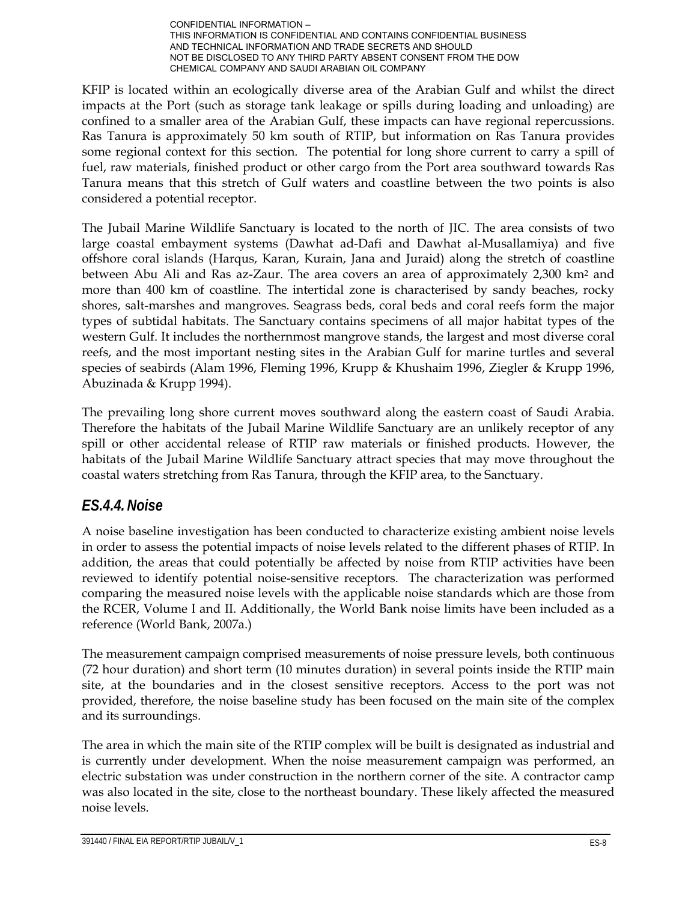KFIP is located within an ecologically diverse area of the Arabian Gulf and whilst the direct impacts at the Port (such as storage tank leakage or spills during loading and unloading) are confined to a smaller area of the Arabian Gulf, these impacts can have regional repercussions. Ras Tanura is approximately 50 km south of RTIP, but information on Ras Tanura provides some regional context for this section. The potential for long shore current to carry a spill of fuel, raw materials, finished product or other cargo from the Port area southward towards Ras Tanura means that this stretch of Gulf waters and coastline between the two points is also considered a potential receptor.

The Jubail Marine Wildlife Sanctuary is located to the north of JIC. The area consists of two large coastal embayment systems (Dawhat ad-Dafi and Dawhat al-Musallamiya) and five offshore coral islands (Harqus, Karan, Kurain, Jana and Juraid) along the stretch of coastline between Abu Ali and Ras az-Zaur. The area covers an area of approximately 2,300 km<sup>2</sup> and more than 400 km of coastline. The intertidal zone is characterised by sandy beaches, rocky shores, salt-marshes and mangroves. Seagrass beds, coral beds and coral reefs form the major types of subtidal habitats. The Sanctuary contains specimens of all major habitat types of the western Gulf. It includes the northernmost mangrove stands, the largest and most diverse coral reefs, and the most important nesting sites in the Arabian Gulf for marine turtles and several species of seabirds (Alam 1996, Fleming 1996, Krupp & Khushaim 1996, Ziegler & Krupp 1996, Abuzinada & Krupp 1994).

The prevailing long shore current moves southward along the eastern coast of Saudi Arabia. Therefore the habitats of the Jubail Marine Wildlife Sanctuary are an unlikely receptor of any spill or other accidental release of RTIP raw materials or finished products. However, the habitats of the Jubail Marine Wildlife Sanctuary attract species that may move throughout the coastal waters stretching from Ras Tanura, through the KFIP area, to the Sanctuary.

## *ES.4.4.Noise*

A noise baseline investigation has been conducted to characterize existing ambient noise levels in order to assess the potential impacts of noise levels related to the different phases of RTIP. In addition, the areas that could potentially be affected by noise from RTIP activities have been reviewed to identify potential noise-sensitive receptors. The characterization was performed comparing the measured noise levels with the applicable noise standards which are those from the RCER, Volume I and II. Additionally, the World Bank noise limits have been included as a reference (World Bank, 2007a.)

The measurement campaign comprised measurements of noise pressure levels, both continuous (72 hour duration) and short term (10 minutes duration) in several points inside the RTIP main site, at the boundaries and in the closest sensitive receptors. Access to the port was not provided, therefore, the noise baseline study has been focused on the main site of the complex and its surroundings.

The area in which the main site of the RTIP complex will be built is designated as industrial and is currently under development. When the noise measurement campaign was performed, an electric substation was under construction in the northern corner of the site. A contractor camp was also located in the site, close to the northeast boundary. These likely affected the measured noise levels.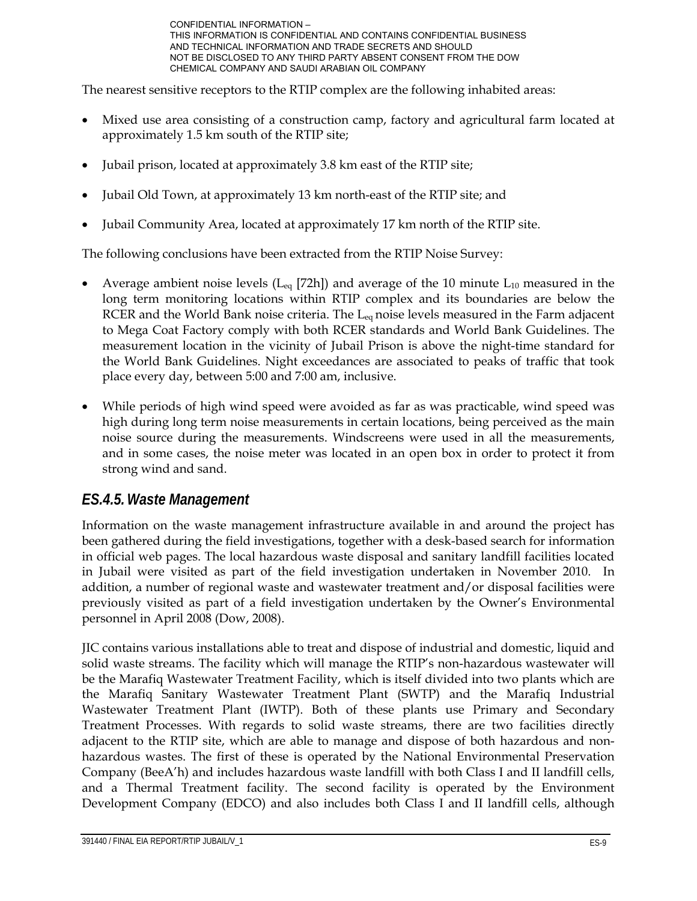The nearest sensitive receptors to the RTIP complex are the following inhabited areas:

- Mixed use area consisting of a construction camp, factory and agricultural farm located at approximately 1.5 km south of the RTIP site;
- Jubail prison, located at approximately 3.8 km east of the RTIP site;
- Jubail Old Town, at approximately 13 km north-east of the RTIP site; and
- Jubail Community Area, located at approximately 17 km north of the RTIP site.

The following conclusions have been extracted from the RTIP Noise Survey:

- Average ambient noise levels ( $L_{eq}$  [72h]) and average of the 10 minute  $L_{10}$  measured in the long term monitoring locations within RTIP complex and its boundaries are below the RCER and the World Bank noise criteria. The L<sub>eq</sub> noise levels measured in the Farm adjacent to Mega Coat Factory comply with both RCER standards and World Bank Guidelines. The measurement location in the vicinity of Jubail Prison is above the night-time standard for the World Bank Guidelines. Night exceedances are associated to peaks of traffic that took place every day, between 5:00 and 7:00 am, inclusive.
- While periods of high wind speed were avoided as far as was practicable, wind speed was high during long term noise measurements in certain locations, being perceived as the main noise source during the measurements. Windscreens were used in all the measurements, and in some cases, the noise meter was located in an open box in order to protect it from strong wind and sand.

#### *ES.4.5.Waste Management*

Information on the waste management infrastructure available in and around the project has been gathered during the field investigations, together with a desk-based search for information in official web pages. The local hazardous waste disposal and sanitary landfill facilities located in Jubail were visited as part of the field investigation undertaken in November 2010. In addition, a number of regional waste and wastewater treatment and/or disposal facilities were previously visited as part of a field investigation undertaken by the Owner's Environmental personnel in April 2008 (Dow, 2008).

JIC contains various installations able to treat and dispose of industrial and domestic, liquid and solid waste streams. The facility which will manage the RTIP's non-hazardous wastewater will be the Marafiq Wastewater Treatment Facility, which is itself divided into two plants which are the Marafiq Sanitary Wastewater Treatment Plant (SWTP) and the Marafiq Industrial Wastewater Treatment Plant (IWTP). Both of these plants use Primary and Secondary Treatment Processes. With regards to solid waste streams, there are two facilities directly adjacent to the RTIP site, which are able to manage and dispose of both hazardous and nonhazardous wastes. The first of these is operated by the National Environmental Preservation Company (BeeA'h) and includes hazardous waste landfill with both Class I and II landfill cells, and a Thermal Treatment facility. The second facility is operated by the Environment Development Company (EDCO) and also includes both Class I and II landfill cells, although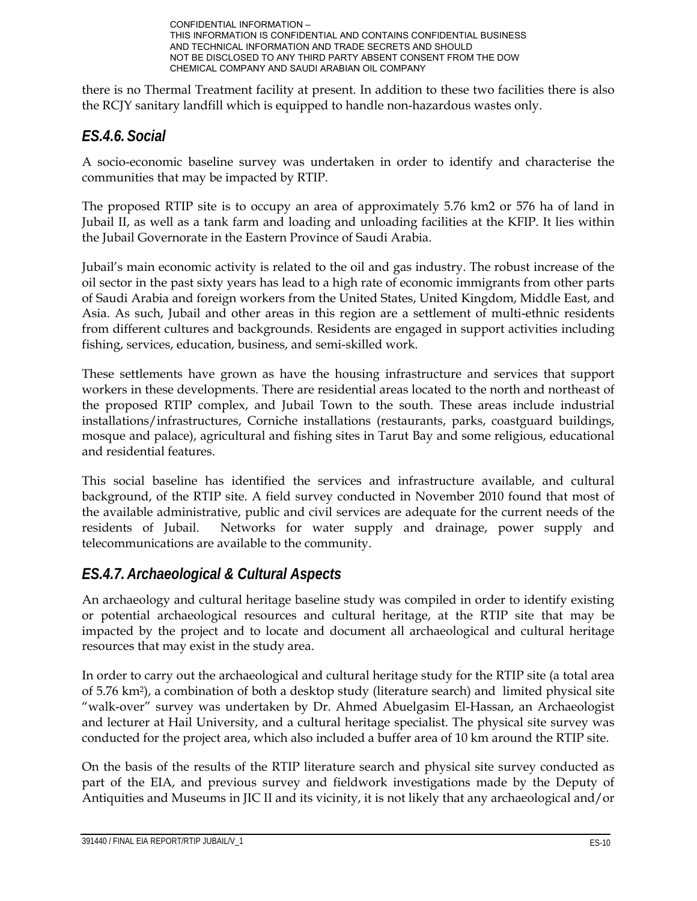

there is no Thermal Treatment facility at present. In addition to these two facilities there is also the RCJY sanitary landfill which is equipped to handle non-hazardous wastes only.

## *ES.4.6. Social*

A socio-economic baseline survey was undertaken in order to identify and characterise the communities that may be impacted by RTIP.

The proposed RTIP site is to occupy an area of approximately 5.76 km2 or 576 ha of land in Jubail II, as well as a tank farm and loading and unloading facilities at the KFIP. It lies within the Jubail Governorate in the Eastern Province of Saudi Arabia.

Jubail's main economic activity is related to the oil and gas industry. The robust increase of the oil sector in the past sixty years has lead to a high rate of economic immigrants from other parts of Saudi Arabia and foreign workers from the United States, United Kingdom, Middle East, and Asia. As such, Jubail and other areas in this region are a settlement of multi-ethnic residents from different cultures and backgrounds. Residents are engaged in support activities including fishing, services, education, business, and semi-skilled work.

These settlements have grown as have the housing infrastructure and services that support workers in these developments. There are residential areas located to the north and northeast of the proposed RTIP complex, and Jubail Town to the south. These areas include industrial installations/infrastructures, Corniche installations (restaurants, parks, coastguard buildings, mosque and palace), agricultural and fishing sites in Tarut Bay and some religious, educational and residential features.

This social baseline has identified the services and infrastructure available, and cultural background, of the RTIP site. A field survey conducted in November 2010 found that most of the available administrative, public and civil services are adequate for the current needs of the residents of Jubail. Networks for water supply and drainage, power supply and telecommunications are available to the community.

## *ES.4.7.Archaeological & Cultural Aspects*

An archaeology and cultural heritage baseline study was compiled in order to identify existing or potential archaeological resources and cultural heritage, at the RTIP site that may be impacted by the project and to locate and document all archaeological and cultural heritage resources that may exist in the study area.

In order to carry out the archaeological and cultural heritage study for the RTIP site (a total area of 5.76 km2), a combination of both a desktop study (literature search) and limited physical site "walk-over" survey was undertaken by Dr. Ahmed Abuelgasim El-Hassan, an Archaeologist and lecturer at Hail University, and a cultural heritage specialist. The physical site survey was conducted for the project area, which also included a buffer area of 10 km around the RTIP site.

On the basis of the results of the RTIP literature search and physical site survey conducted as part of the EIA, and previous survey and fieldwork investigations made by the Deputy of Antiquities and Museums in JIC II and its vicinity, it is not likely that any archaeological and/or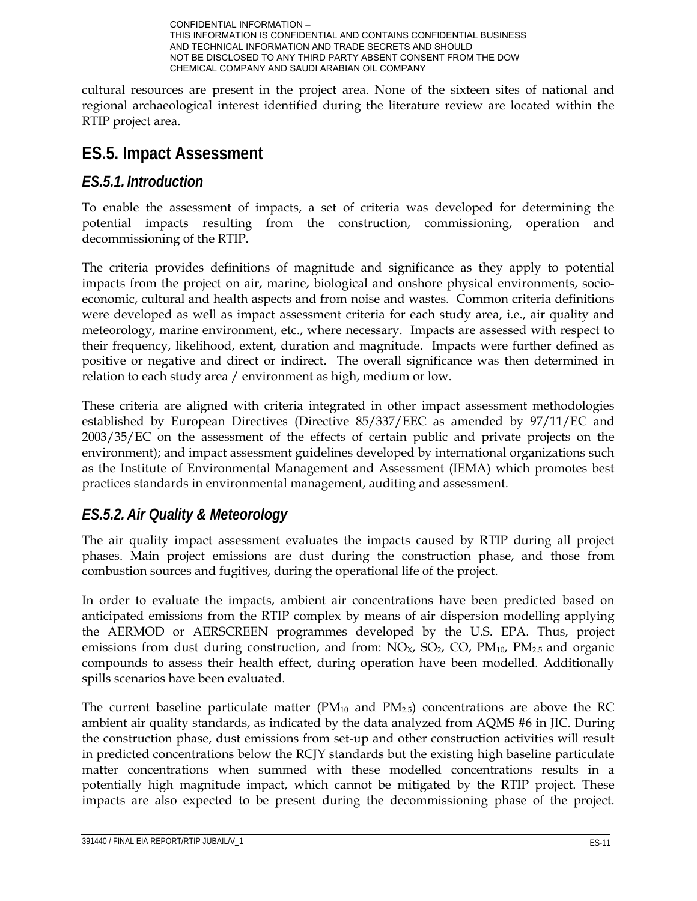

cultural resources are present in the project area. None of the sixteen sites of national and regional archaeological interest identified during the literature review are located within the RTIP project area.

## **ES.5. Impact Assessment**

#### *ES.5.1. Introduction*

To enable the assessment of impacts, a set of criteria was developed for determining the potential impacts resulting from the construction, commissioning, operation and decommissioning of the RTIP.

The criteria provides definitions of magnitude and significance as they apply to potential impacts from the project on air, marine, biological and onshore physical environments, socioeconomic, cultural and health aspects and from noise and wastes. Common criteria definitions were developed as well as impact assessment criteria for each study area, i.e., air quality and meteorology, marine environment, etc., where necessary. Impacts are assessed with respect to their frequency, likelihood, extent, duration and magnitude. Impacts were further defined as positive or negative and direct or indirect. The overall significance was then determined in relation to each study area / environment as high, medium or low.

These criteria are aligned with criteria integrated in other impact assessment methodologies established by European Directives (Directive 85/337/EEC as amended by 97/11/EC and 2003/35/EC on the assessment of the effects of certain public and private projects on the environment); and impact assessment guidelines developed by international organizations such as the Institute of Environmental Management and Assessment (IEMA) which promotes best practices standards in environmental management, auditing and assessment.

## *ES.5.2.Air Quality & Meteorology*

The air quality impact assessment evaluates the impacts caused by RTIP during all project phases. Main project emissions are dust during the construction phase, and those from combustion sources and fugitives, during the operational life of the project.

In order to evaluate the impacts, ambient air concentrations have been predicted based on anticipated emissions from the RTIP complex by means of air dispersion modelling applying the AERMOD or AERSCREEN programmes developed by the U.S. EPA. Thus, project emissions from dust during construction, and from:  $NO_{X}$ ,  $SO_{2}$ ,  $CO$ ,  $PM_{10}$ ,  $PM_{2.5}$  and organic compounds to assess their health effect, during operation have been modelled. Additionally spills scenarios have been evaluated.

The current baseline particulate matter  $(PM_{10}$  and  $PM_{2.5})$  concentrations are above the RC ambient air quality standards, as indicated by the data analyzed from AQMS #6 in JIC. During the construction phase, dust emissions from set-up and other construction activities will result in predicted concentrations below the RCJY standards but the existing high baseline particulate matter concentrations when summed with these modelled concentrations results in a potentially high magnitude impact, which cannot be mitigated by the RTIP project. These impacts are also expected to be present during the decommissioning phase of the project.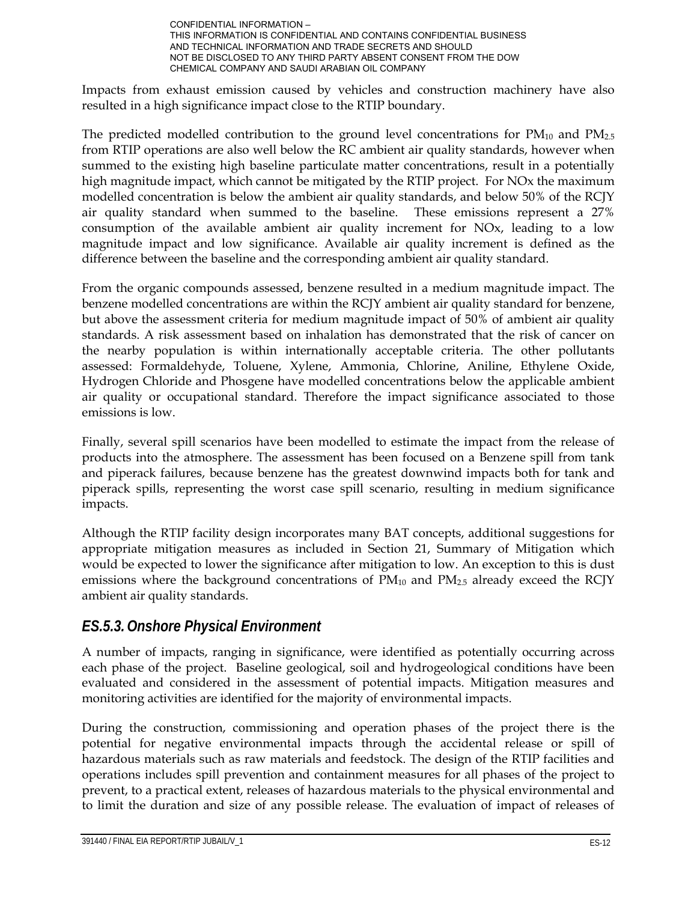Impacts from exhaust emission caused by vehicles and construction machinery have also resulted in a high significance impact close to the RTIP boundary.

The predicted modelled contribution to the ground level concentrations for  $PM_{10}$  and  $PM_{2.5}$ from RTIP operations are also well below the RC ambient air quality standards, however when summed to the existing high baseline particulate matter concentrations, result in a potentially high magnitude impact, which cannot be mitigated by the RTIP project. For NOx the maximum modelled concentration is below the ambient air quality standards, and below 50% of the RCJY air quality standard when summed to the baseline. These emissions represent a 27% consumption of the available ambient air quality increment for NOx, leading to a low magnitude impact and low significance. Available air quality increment is defined as the difference between the baseline and the corresponding ambient air quality standard.

From the organic compounds assessed, benzene resulted in a medium magnitude impact. The benzene modelled concentrations are within the RCJY ambient air quality standard for benzene, but above the assessment criteria for medium magnitude impact of 50% of ambient air quality standards. A risk assessment based on inhalation has demonstrated that the risk of cancer on the nearby population is within internationally acceptable criteria. The other pollutants assessed: Formaldehyde, Toluene, Xylene, Ammonia, Chlorine, Aniline, Ethylene Oxide, Hydrogen Chloride and Phosgene have modelled concentrations below the applicable ambient air quality or occupational standard. Therefore the impact significance associated to those emissions is low.

Finally, several spill scenarios have been modelled to estimate the impact from the release of products into the atmosphere. The assessment has been focused on a Benzene spill from tank and piperack failures, because benzene has the greatest downwind impacts both for tank and piperack spills, representing the worst case spill scenario, resulting in medium significance impacts.

Although the RTIP facility design incorporates many BAT concepts, additional suggestions for appropriate mitigation measures as included in Section 21, Summary of Mitigation which would be expected to lower the significance after mitigation to low. An exception to this is dust emissions where the background concentrations of  $PM_{10}$  and  $PM_{2.5}$  already exceed the RCJY ambient air quality standards.

#### *ES.5.3.Onshore Physical Environment*

A number of impacts, ranging in significance, were identified as potentially occurring across each phase of the project. Baseline geological, soil and hydrogeological conditions have been evaluated and considered in the assessment of potential impacts. Mitigation measures and monitoring activities are identified for the majority of environmental impacts.

During the construction, commissioning and operation phases of the project there is the potential for negative environmental impacts through the accidental release or spill of hazardous materials such as raw materials and feedstock. The design of the RTIP facilities and operations includes spill prevention and containment measures for all phases of the project to prevent, to a practical extent, releases of hazardous materials to the physical environmental and to limit the duration and size of any possible release. The evaluation of impact of releases of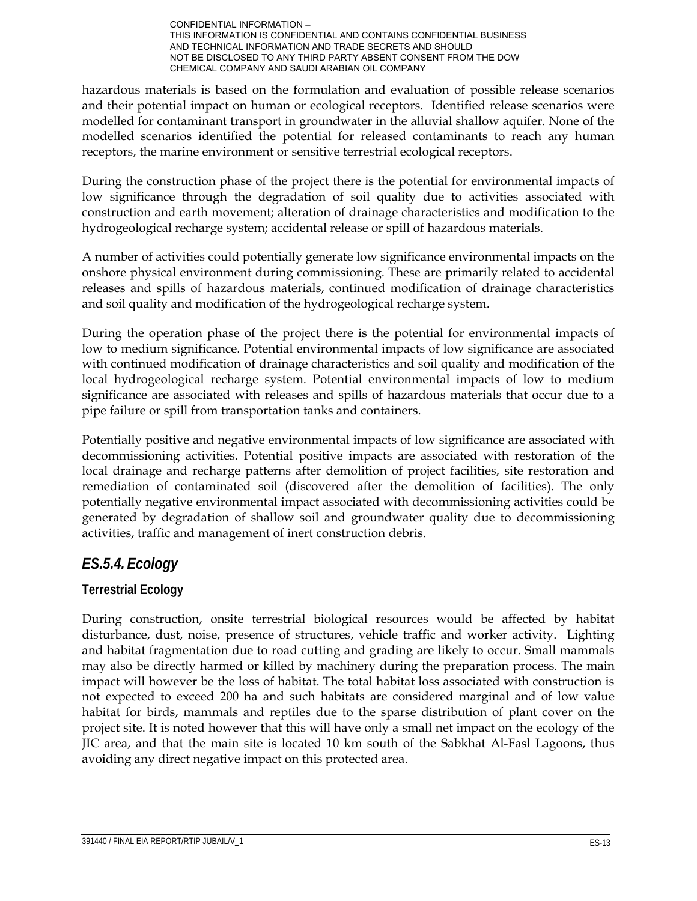hazardous materials is based on the formulation and evaluation of possible release scenarios and their potential impact on human or ecological receptors. Identified release scenarios were modelled for contaminant transport in groundwater in the alluvial shallow aquifer. None of the modelled scenarios identified the potential for released contaminants to reach any human receptors, the marine environment or sensitive terrestrial ecological receptors.

During the construction phase of the project there is the potential for environmental impacts of low significance through the degradation of soil quality due to activities associated with construction and earth movement; alteration of drainage characteristics and modification to the hydrogeological recharge system; accidental release or spill of hazardous materials.

A number of activities could potentially generate low significance environmental impacts on the onshore physical environment during commissioning. These are primarily related to accidental releases and spills of hazardous materials, continued modification of drainage characteristics and soil quality and modification of the hydrogeological recharge system.

During the operation phase of the project there is the potential for environmental impacts of low to medium significance. Potential environmental impacts of low significance are associated with continued modification of drainage characteristics and soil quality and modification of the local hydrogeological recharge system. Potential environmental impacts of low to medium significance are associated with releases and spills of hazardous materials that occur due to a pipe failure or spill from transportation tanks and containers.

Potentially positive and negative environmental impacts of low significance are associated with decommissioning activities. Potential positive impacts are associated with restoration of the local drainage and recharge patterns after demolition of project facilities, site restoration and remediation of contaminated soil (discovered after the demolition of facilities). The only potentially negative environmental impact associated with decommissioning activities could be generated by degradation of shallow soil and groundwater quality due to decommissioning activities, traffic and management of inert construction debris.

## *ES.5.4. Ecology*

#### **Terrestrial Ecology**

During construction, onsite terrestrial biological resources would be affected by habitat disturbance, dust, noise, presence of structures, vehicle traffic and worker activity. Lighting and habitat fragmentation due to road cutting and grading are likely to occur. Small mammals may also be directly harmed or killed by machinery during the preparation process. The main impact will however be the loss of habitat. The total habitat loss associated with construction is not expected to exceed 200 ha and such habitats are considered marginal and of low value habitat for birds, mammals and reptiles due to the sparse distribution of plant cover on the project site. It is noted however that this will have only a small net impact on the ecology of the JIC area, and that the main site is located 10 km south of the Sabkhat Al-Fasl Lagoons, thus avoiding any direct negative impact on this protected area.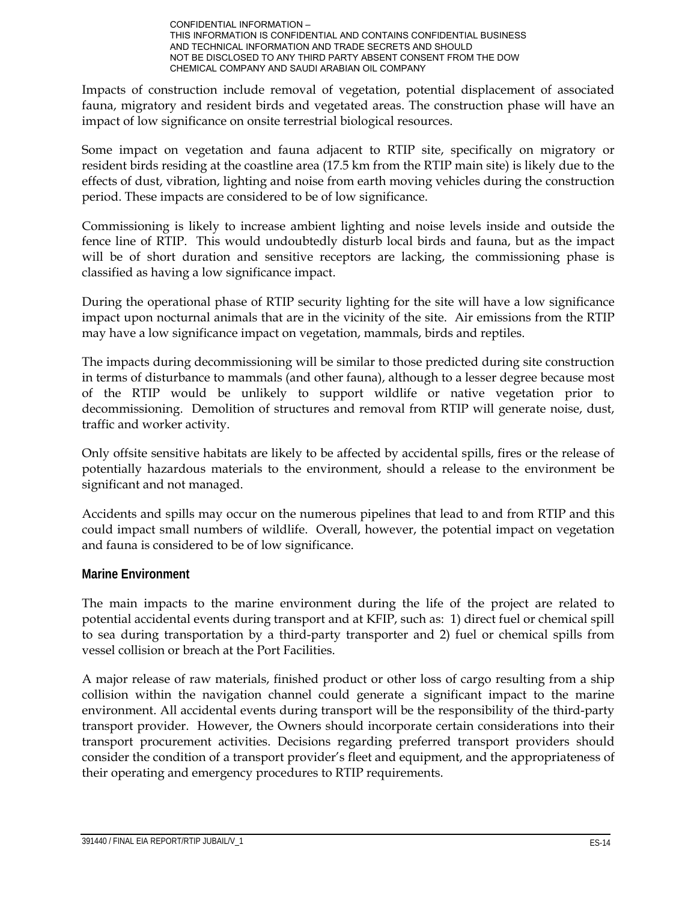Impacts of construction include removal of vegetation, potential displacement of associated fauna, migratory and resident birds and vegetated areas. The construction phase will have an impact of low significance on onsite terrestrial biological resources.

Some impact on vegetation and fauna adjacent to RTIP site, specifically on migratory or resident birds residing at the coastline area (17.5 km from the RTIP main site) is likely due to the effects of dust, vibration, lighting and noise from earth moving vehicles during the construction period. These impacts are considered to be of low significance.

Commissioning is likely to increase ambient lighting and noise levels inside and outside the fence line of RTIP. This would undoubtedly disturb local birds and fauna, but as the impact will be of short duration and sensitive receptors are lacking, the commissioning phase is classified as having a low significance impact.

During the operational phase of RTIP security lighting for the site will have a low significance impact upon nocturnal animals that are in the vicinity of the site. Air emissions from the RTIP may have a low significance impact on vegetation, mammals, birds and reptiles.

The impacts during decommissioning will be similar to those predicted during site construction in terms of disturbance to mammals (and other fauna), although to a lesser degree because most of the RTIP would be unlikely to support wildlife or native vegetation prior to decommissioning. Demolition of structures and removal from RTIP will generate noise, dust, traffic and worker activity.

Only offsite sensitive habitats are likely to be affected by accidental spills, fires or the release of potentially hazardous materials to the environment, should a release to the environment be significant and not managed.

Accidents and spills may occur on the numerous pipelines that lead to and from RTIP and this could impact small numbers of wildlife. Overall, however, the potential impact on vegetation and fauna is considered to be of low significance.

#### **Marine Environment**

The main impacts to the marine environment during the life of the project are related to potential accidental events during transport and at KFIP, such as: 1) direct fuel or chemical spill to sea during transportation by a third-party transporter and 2) fuel or chemical spills from vessel collision or breach at the Port Facilities.

A major release of raw materials, finished product or other loss of cargo resulting from a ship collision within the navigation channel could generate a significant impact to the marine environment. All accidental events during transport will be the responsibility of the third-party transport provider. However, the Owners should incorporate certain considerations into their transport procurement activities. Decisions regarding preferred transport providers should consider the condition of a transport provider's fleet and equipment, and the appropriateness of their operating and emergency procedures to RTIP requirements.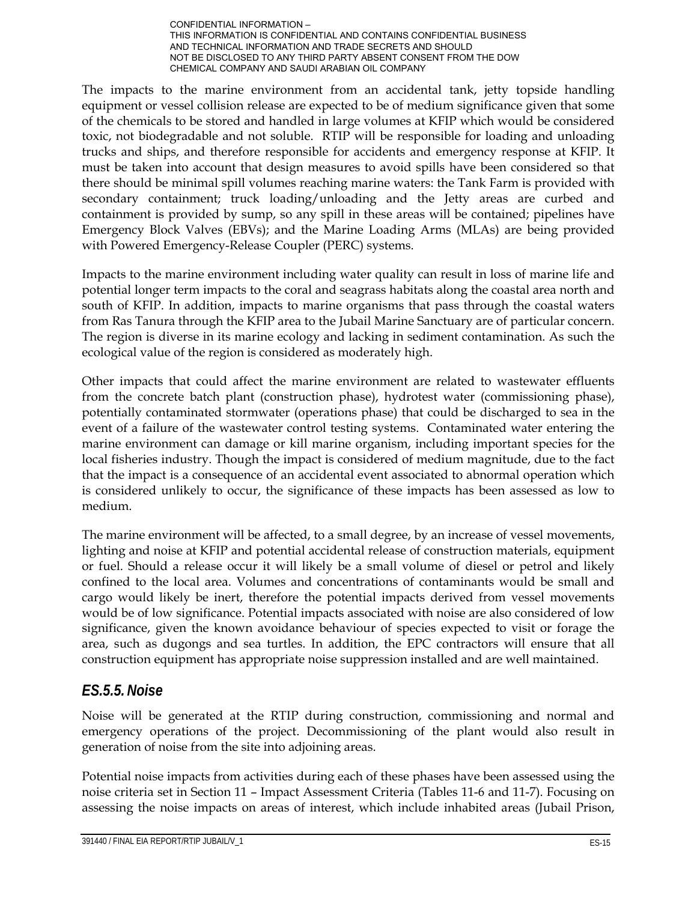The impacts to the marine environment from an accidental tank, jetty topside handling equipment or vessel collision release are expected to be of medium significance given that some of the chemicals to be stored and handled in large volumes at KFIP which would be considered toxic, not biodegradable and not soluble. RTIP will be responsible for loading and unloading trucks and ships, and therefore responsible for accidents and emergency response at KFIP. It must be taken into account that design measures to avoid spills have been considered so that there should be minimal spill volumes reaching marine waters: the Tank Farm is provided with secondary containment; truck loading/unloading and the Jetty areas are curbed and containment is provided by sump, so any spill in these areas will be contained; pipelines have Emergency Block Valves (EBVs); and the Marine Loading Arms (MLAs) are being provided with Powered Emergency-Release Coupler (PERC) systems.

Impacts to the marine environment including water quality can result in loss of marine life and potential longer term impacts to the coral and seagrass habitats along the coastal area north and south of KFIP. In addition, impacts to marine organisms that pass through the coastal waters from Ras Tanura through the KFIP area to the Jubail Marine Sanctuary are of particular concern. The region is diverse in its marine ecology and lacking in sediment contamination. As such the ecological value of the region is considered as moderately high.

Other impacts that could affect the marine environment are related to wastewater effluents from the concrete batch plant (construction phase), hydrotest water (commissioning phase), potentially contaminated stormwater (operations phase) that could be discharged to sea in the event of a failure of the wastewater control testing systems. Contaminated water entering the marine environment can damage or kill marine organism, including important species for the local fisheries industry. Though the impact is considered of medium magnitude, due to the fact that the impact is a consequence of an accidental event associated to abnormal operation which is considered unlikely to occur, the significance of these impacts has been assessed as low to medium.

The marine environment will be affected, to a small degree, by an increase of vessel movements, lighting and noise at KFIP and potential accidental release of construction materials, equipment or fuel. Should a release occur it will likely be a small volume of diesel or petrol and likely confined to the local area. Volumes and concentrations of contaminants would be small and cargo would likely be inert, therefore the potential impacts derived from vessel movements would be of low significance. Potential impacts associated with noise are also considered of low significance, given the known avoidance behaviour of species expected to visit or forage the area, such as dugongs and sea turtles. In addition, the EPC contractors will ensure that all construction equipment has appropriate noise suppression installed and are well maintained.

#### *ES.5.5.Noise*

Noise will be generated at the RTIP during construction, commissioning and normal and emergency operations of the project. Decommissioning of the plant would also result in generation of noise from the site into adjoining areas.

Potential noise impacts from activities during each of these phases have been assessed using the noise criteria set in Section 11 – Impact Assessment Criteria (Tables 11-6 and 11-7). Focusing on assessing the noise impacts on areas of interest, which include inhabited areas (Jubail Prison,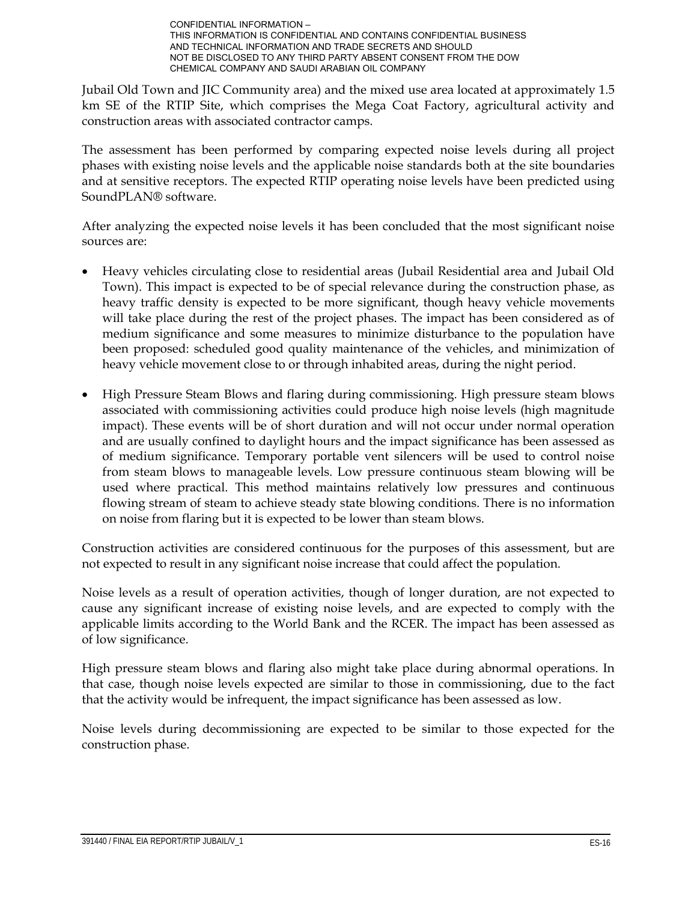Jubail Old Town and JIC Community area) and the mixed use area located at approximately 1.5 km SE of the RTIP Site, which comprises the Mega Coat Factory, agricultural activity and construction areas with associated contractor camps.

The assessment has been performed by comparing expected noise levels during all project phases with existing noise levels and the applicable noise standards both at the site boundaries and at sensitive receptors. The expected RTIP operating noise levels have been predicted using SoundPLAN® software.

After analyzing the expected noise levels it has been concluded that the most significant noise sources are:

- Heavy vehicles circulating close to residential areas (Jubail Residential area and Jubail Old Town). This impact is expected to be of special relevance during the construction phase, as heavy traffic density is expected to be more significant, though heavy vehicle movements will take place during the rest of the project phases. The impact has been considered as of medium significance and some measures to minimize disturbance to the population have been proposed: scheduled good quality maintenance of the vehicles, and minimization of heavy vehicle movement close to or through inhabited areas, during the night period.
- High Pressure Steam Blows and flaring during commissioning. High pressure steam blows associated with commissioning activities could produce high noise levels (high magnitude impact). These events will be of short duration and will not occur under normal operation and are usually confined to daylight hours and the impact significance has been assessed as of medium significance. Temporary portable vent silencers will be used to control noise from steam blows to manageable levels. Low pressure continuous steam blowing will be used where practical. This method maintains relatively low pressures and continuous flowing stream of steam to achieve steady state blowing conditions. There is no information on noise from flaring but it is expected to be lower than steam blows.

Construction activities are considered continuous for the purposes of this assessment, but are not expected to result in any significant noise increase that could affect the population.

Noise levels as a result of operation activities, though of longer duration, are not expected to cause any significant increase of existing noise levels, and are expected to comply with the applicable limits according to the World Bank and the RCER. The impact has been assessed as of low significance.

High pressure steam blows and flaring also might take place during abnormal operations. In that case, though noise levels expected are similar to those in commissioning, due to the fact that the activity would be infrequent, the impact significance has been assessed as low.

Noise levels during decommissioning are expected to be similar to those expected for the construction phase.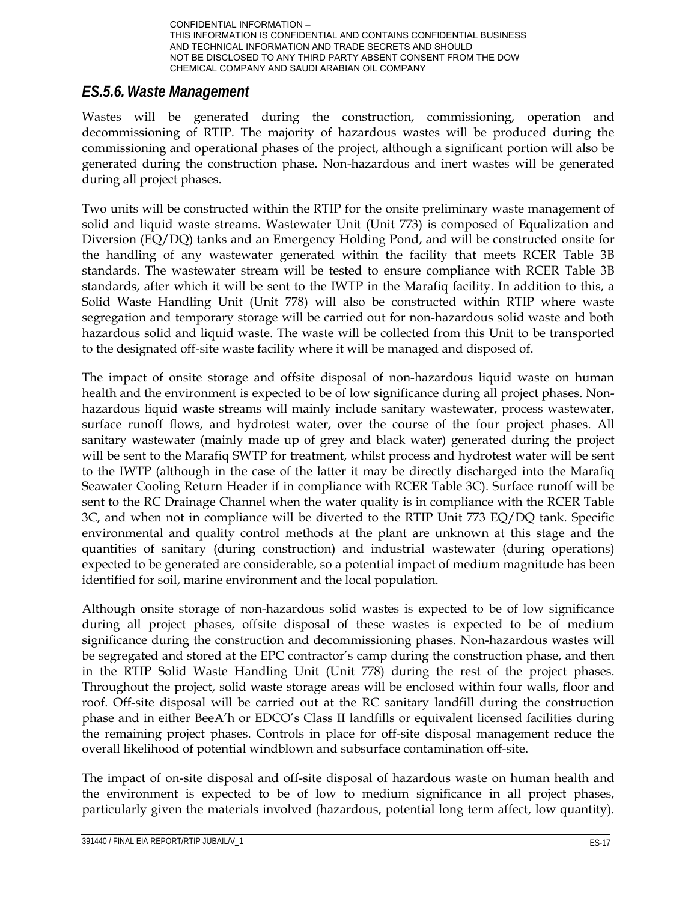

#### *ES.5.6.Waste Management*

Wastes will be generated during the construction, commissioning, operation and decommissioning of RTIP. The majority of hazardous wastes will be produced during the commissioning and operational phases of the project, although a significant portion will also be generated during the construction phase. Non-hazardous and inert wastes will be generated during all project phases.

Two units will be constructed within the RTIP for the onsite preliminary waste management of solid and liquid waste streams. Wastewater Unit (Unit 773) is composed of Equalization and Diversion (EQ/DQ) tanks and an Emergency Holding Pond, and will be constructed onsite for the handling of any wastewater generated within the facility that meets RCER Table 3B standards. The wastewater stream will be tested to ensure compliance with RCER Table 3B standards, after which it will be sent to the IWTP in the Marafiq facility. In addition to this, a Solid Waste Handling Unit (Unit 778) will also be constructed within RTIP where waste segregation and temporary storage will be carried out for non-hazardous solid waste and both hazardous solid and liquid waste. The waste will be collected from this Unit to be transported to the designated off-site waste facility where it will be managed and disposed of.

The impact of onsite storage and offsite disposal of non-hazardous liquid waste on human health and the environment is expected to be of low significance during all project phases. Nonhazardous liquid waste streams will mainly include sanitary wastewater, process wastewater, surface runoff flows, and hydrotest water, over the course of the four project phases. All sanitary wastewater (mainly made up of grey and black water) generated during the project will be sent to the Marafiq SWTP for treatment, whilst process and hydrotest water will be sent to the IWTP (although in the case of the latter it may be directly discharged into the Marafiq Seawater Cooling Return Header if in compliance with RCER Table 3C). Surface runoff will be sent to the RC Drainage Channel when the water quality is in compliance with the RCER Table 3C, and when not in compliance will be diverted to the RTIP Unit 773 EQ/DQ tank. Specific environmental and quality control methods at the plant are unknown at this stage and the quantities of sanitary (during construction) and industrial wastewater (during operations) expected to be generated are considerable, so a potential impact of medium magnitude has been identified for soil, marine environment and the local population.

Although onsite storage of non-hazardous solid wastes is expected to be of low significance during all project phases, offsite disposal of these wastes is expected to be of medium significance during the construction and decommissioning phases. Non-hazardous wastes will be segregated and stored at the EPC contractor's camp during the construction phase, and then in the RTIP Solid Waste Handling Unit (Unit 778) during the rest of the project phases. Throughout the project, solid waste storage areas will be enclosed within four walls, floor and roof. Off-site disposal will be carried out at the RC sanitary landfill during the construction phase and in either BeeA'h or EDCO's Class II landfills or equivalent licensed facilities during the remaining project phases. Controls in place for off-site disposal management reduce the overall likelihood of potential windblown and subsurface contamination off-site.

The impact of on-site disposal and off-site disposal of hazardous waste on human health and the environment is expected to be of low to medium significance in all project phases, particularly given the materials involved (hazardous, potential long term affect, low quantity).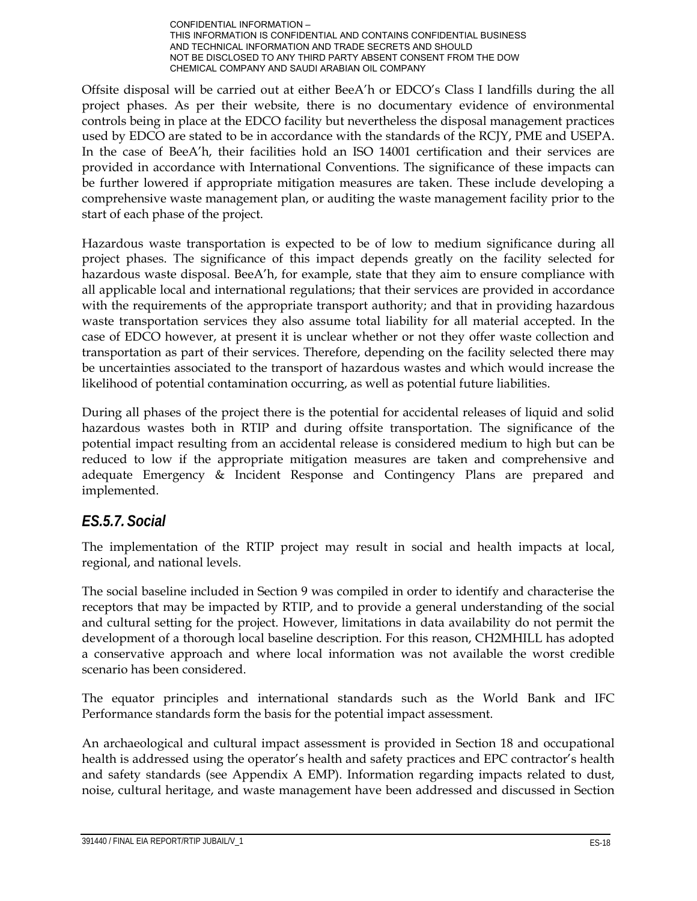Offsite disposal will be carried out at either BeeA'h or EDCO's Class I landfills during the all project phases. As per their website, there is no documentary evidence of environmental controls being in place at the EDCO facility but nevertheless the disposal management practices used by EDCO are stated to be in accordance with the standards of the RCJY, PME and USEPA. In the case of BeeA'h, their facilities hold an ISO 14001 certification and their services are provided in accordance with International Conventions. The significance of these impacts can be further lowered if appropriate mitigation measures are taken. These include developing a comprehensive waste management plan, or auditing the waste management facility prior to the start of each phase of the project.

Hazardous waste transportation is expected to be of low to medium significance during all project phases. The significance of this impact depends greatly on the facility selected for hazardous waste disposal. BeeA'h, for example, state that they aim to ensure compliance with all applicable local and international regulations; that their services are provided in accordance with the requirements of the appropriate transport authority; and that in providing hazardous waste transportation services they also assume total liability for all material accepted. In the case of EDCO however, at present it is unclear whether or not they offer waste collection and transportation as part of their services. Therefore, depending on the facility selected there may be uncertainties associated to the transport of hazardous wastes and which would increase the likelihood of potential contamination occurring, as well as potential future liabilities.

During all phases of the project there is the potential for accidental releases of liquid and solid hazardous wastes both in RTIP and during offsite transportation. The significance of the potential impact resulting from an accidental release is considered medium to high but can be reduced to low if the appropriate mitigation measures are taken and comprehensive and adequate Emergency & Incident Response and Contingency Plans are prepared and implemented.

## *ES.5.7. Social*

The implementation of the RTIP project may result in social and health impacts at local, regional, and national levels.

The social baseline included in Section 9 was compiled in order to identify and characterise the receptors that may be impacted by RTIP, and to provide a general understanding of the social and cultural setting for the project. However, limitations in data availability do not permit the development of a thorough local baseline description. For this reason, CH2MHILL has adopted a conservative approach and where local information was not available the worst credible scenario has been considered.

The equator principles and international standards such as the World Bank and IFC Performance standards form the basis for the potential impact assessment.

An archaeological and cultural impact assessment is provided in Section 18 and occupational health is addressed using the operator's health and safety practices and EPC contractor's health and safety standards (see Appendix A EMP). Information regarding impacts related to dust, noise, cultural heritage, and waste management have been addressed and discussed in Section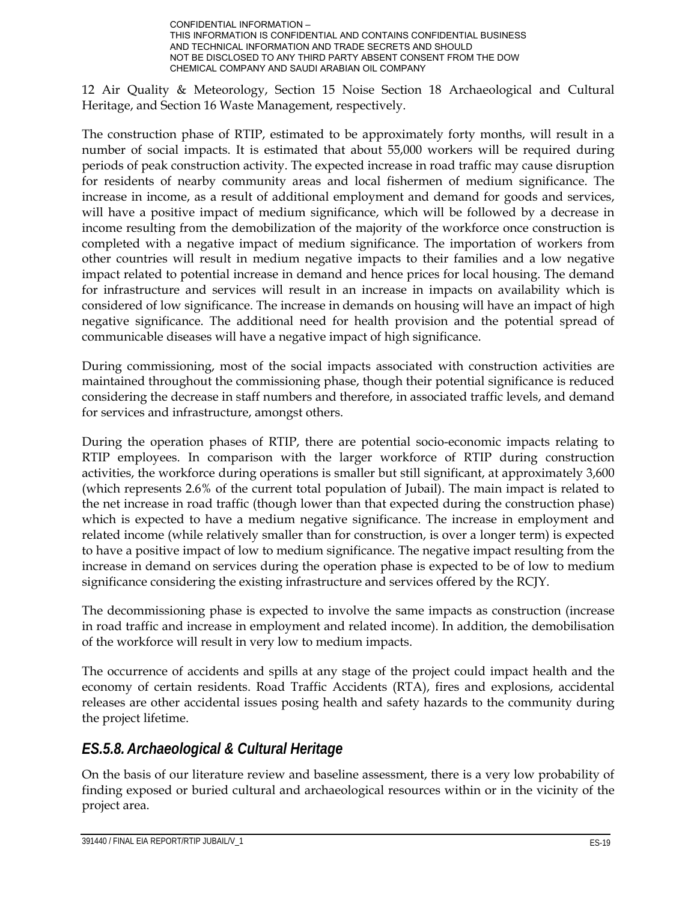

12 Air Quality & Meteorology, Section 15 Noise Section 18 Archaeological and Cultural Heritage, and Section 16 Waste Management, respectively.

The construction phase of RTIP, estimated to be approximately forty months, will result in a number of social impacts. It is estimated that about 55,000 workers will be required during periods of peak construction activity. The expected increase in road traffic may cause disruption for residents of nearby community areas and local fishermen of medium significance. The increase in income, as a result of additional employment and demand for goods and services, will have a positive impact of medium significance, which will be followed by a decrease in income resulting from the demobilization of the majority of the workforce once construction is completed with a negative impact of medium significance. The importation of workers from other countries will result in medium negative impacts to their families and a low negative impact related to potential increase in demand and hence prices for local housing. The demand for infrastructure and services will result in an increase in impacts on availability which is considered of low significance. The increase in demands on housing will have an impact of high negative significance. The additional need for health provision and the potential spread of communicable diseases will have a negative impact of high significance.

During commissioning, most of the social impacts associated with construction activities are maintained throughout the commissioning phase, though their potential significance is reduced considering the decrease in staff numbers and therefore, in associated traffic levels, and demand for services and infrastructure, amongst others.

During the operation phases of RTIP, there are potential socio-economic impacts relating to RTIP employees. In comparison with the larger workforce of RTIP during construction activities, the workforce during operations is smaller but still significant, at approximately 3,600 (which represents 2.6% of the current total population of Jubail). The main impact is related to the net increase in road traffic (though lower than that expected during the construction phase) which is expected to have a medium negative significance. The increase in employment and related income (while relatively smaller than for construction, is over a longer term) is expected to have a positive impact of low to medium significance. The negative impact resulting from the increase in demand on services during the operation phase is expected to be of low to medium significance considering the existing infrastructure and services offered by the RCJY.

The decommissioning phase is expected to involve the same impacts as construction (increase in road traffic and increase in employment and related income). In addition, the demobilisation of the workforce will result in very low to medium impacts.

The occurrence of accidents and spills at any stage of the project could impact health and the economy of certain residents. Road Traffic Accidents (RTA), fires and explosions, accidental releases are other accidental issues posing health and safety hazards to the community during the project lifetime.

## *ES.5.8.Archaeological & Cultural Heritage*

On the basis of our literature review and baseline assessment, there is a very low probability of finding exposed or buried cultural and archaeological resources within or in the vicinity of the project area.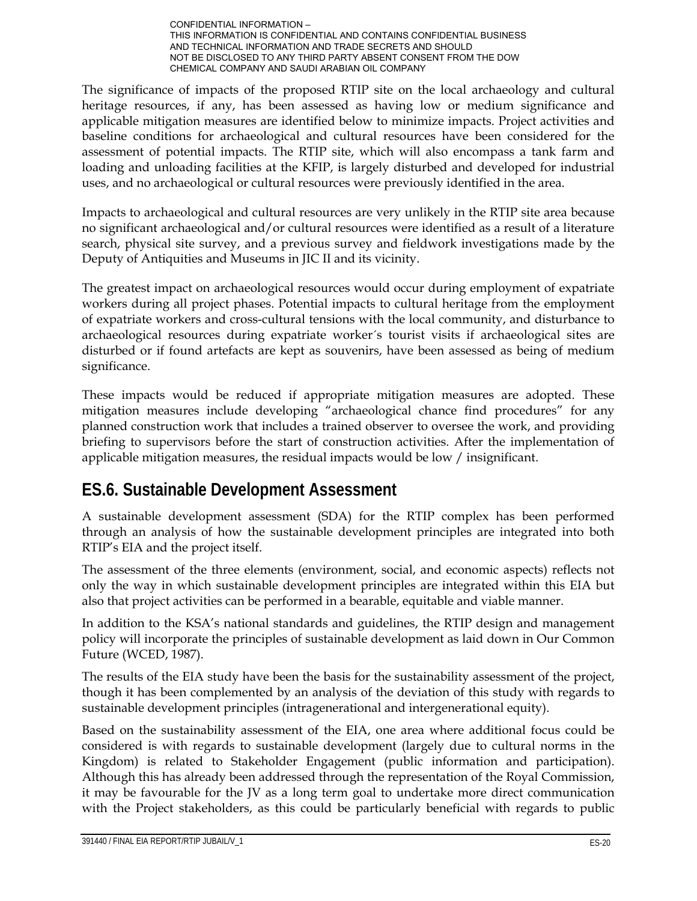The significance of impacts of the proposed RTIP site on the local archaeology and cultural heritage resources, if any, has been assessed as having low or medium significance and applicable mitigation measures are identified below to minimize impacts. Project activities and baseline conditions for archaeological and cultural resources have been considered for the assessment of potential impacts. The RTIP site, which will also encompass a tank farm and loading and unloading facilities at the KFIP, is largely disturbed and developed for industrial uses, and no archaeological or cultural resources were previously identified in the area.

Impacts to archaeological and cultural resources are very unlikely in the RTIP site area because no significant archaeological and/or cultural resources were identified as a result of a literature search, physical site survey, and a previous survey and fieldwork investigations made by the Deputy of Antiquities and Museums in JIC II and its vicinity.

The greatest impact on archaeological resources would occur during employment of expatriate workers during all project phases. Potential impacts to cultural heritage from the employment of expatriate workers and cross-cultural tensions with the local community, and disturbance to archaeological resources during expatriate worker´s tourist visits if archaeological sites are disturbed or if found artefacts are kept as souvenirs, have been assessed as being of medium significance.

These impacts would be reduced if appropriate mitigation measures are adopted. These mitigation measures include developing "archaeological chance find procedures" for any planned construction work that includes a trained observer to oversee the work, and providing briefing to supervisors before the start of construction activities. After the implementation of applicable mitigation measures, the residual impacts would be low / insignificant.

# **ES.6. Sustainable Development Assessment**

A sustainable development assessment (SDA) for the RTIP complex has been performed through an analysis of how the sustainable development principles are integrated into both RTIP's EIA and the project itself.

The assessment of the three elements (environment, social, and economic aspects) reflects not only the way in which sustainable development principles are integrated within this EIA but also that project activities can be performed in a bearable, equitable and viable manner.

In addition to the KSA's national standards and guidelines, the RTIP design and management policy will incorporate the principles of sustainable development as laid down in Our Common Future (WCED, 1987).

The results of the EIA study have been the basis for the sustainability assessment of the project, though it has been complemented by an analysis of the deviation of this study with regards to sustainable development principles (intragenerational and intergenerational equity).

Based on the sustainability assessment of the EIA, one area where additional focus could be considered is with regards to sustainable development (largely due to cultural norms in the Kingdom) is related to Stakeholder Engagement (public information and participation). Although this has already been addressed through the representation of the Royal Commission, it may be favourable for the JV as a long term goal to undertake more direct communication with the Project stakeholders, as this could be particularly beneficial with regards to public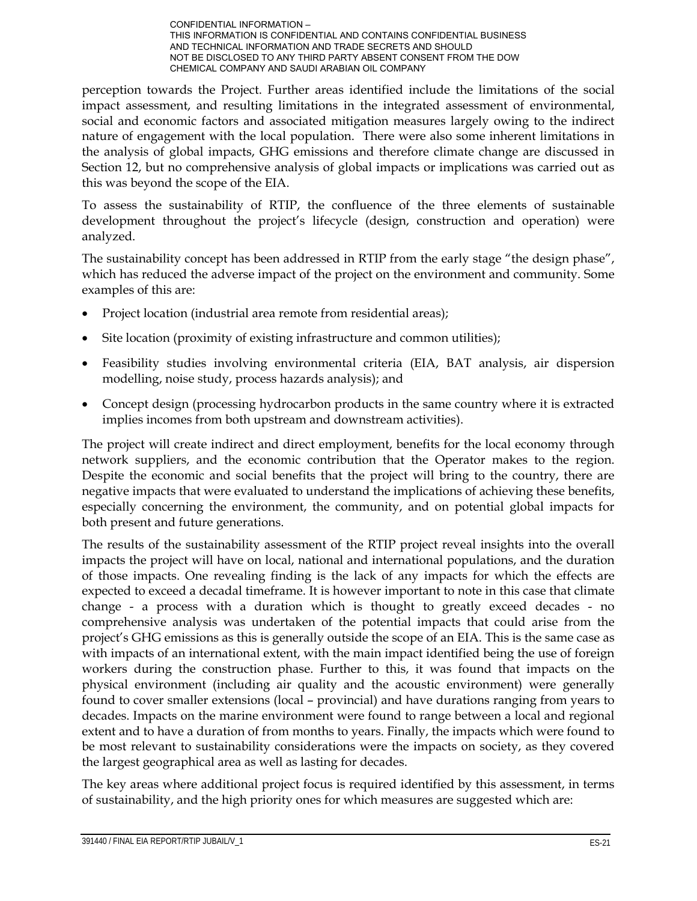perception towards the Project. Further areas identified include the limitations of the social impact assessment, and resulting limitations in the integrated assessment of environmental, social and economic factors and associated mitigation measures largely owing to the indirect nature of engagement with the local population. There were also some inherent limitations in the analysis of global impacts, GHG emissions and therefore climate change are discussed in Section 12, but no comprehensive analysis of global impacts or implications was carried out as this was beyond the scope of the EIA.

To assess the sustainability of RTIP, the confluence of the three elements of sustainable development throughout the project's lifecycle (design, construction and operation) were analyzed.

The sustainability concept has been addressed in RTIP from the early stage "the design phase", which has reduced the adverse impact of the project on the environment and community. Some examples of this are:

- Project location (industrial area remote from residential areas);
- Site location (proximity of existing infrastructure and common utilities);
- Feasibility studies involving environmental criteria (EIA, BAT analysis, air dispersion modelling, noise study, process hazards analysis); and
- Concept design (processing hydrocarbon products in the same country where it is extracted implies incomes from both upstream and downstream activities).

The project will create indirect and direct employment, benefits for the local economy through network suppliers, and the economic contribution that the Operator makes to the region. Despite the economic and social benefits that the project will bring to the country, there are negative impacts that were evaluated to understand the implications of achieving these benefits, especially concerning the environment, the community, and on potential global impacts for both present and future generations.

The results of the sustainability assessment of the RTIP project reveal insights into the overall impacts the project will have on local, national and international populations, and the duration of those impacts. One revealing finding is the lack of any impacts for which the effects are expected to exceed a decadal timeframe. It is however important to note in this case that climate change - a process with a duration which is thought to greatly exceed decades - no comprehensive analysis was undertaken of the potential impacts that could arise from the project's GHG emissions as this is generally outside the scope of an EIA. This is the same case as with impacts of an international extent, with the main impact identified being the use of foreign workers during the construction phase. Further to this, it was found that impacts on the physical environment (including air quality and the acoustic environment) were generally found to cover smaller extensions (local – provincial) and have durations ranging from years to decades. Impacts on the marine environment were found to range between a local and regional extent and to have a duration of from months to years. Finally, the impacts which were found to be most relevant to sustainability considerations were the impacts on society, as they covered the largest geographical area as well as lasting for decades.

The key areas where additional project focus is required identified by this assessment, in terms of sustainability, and the high priority ones for which measures are suggested which are: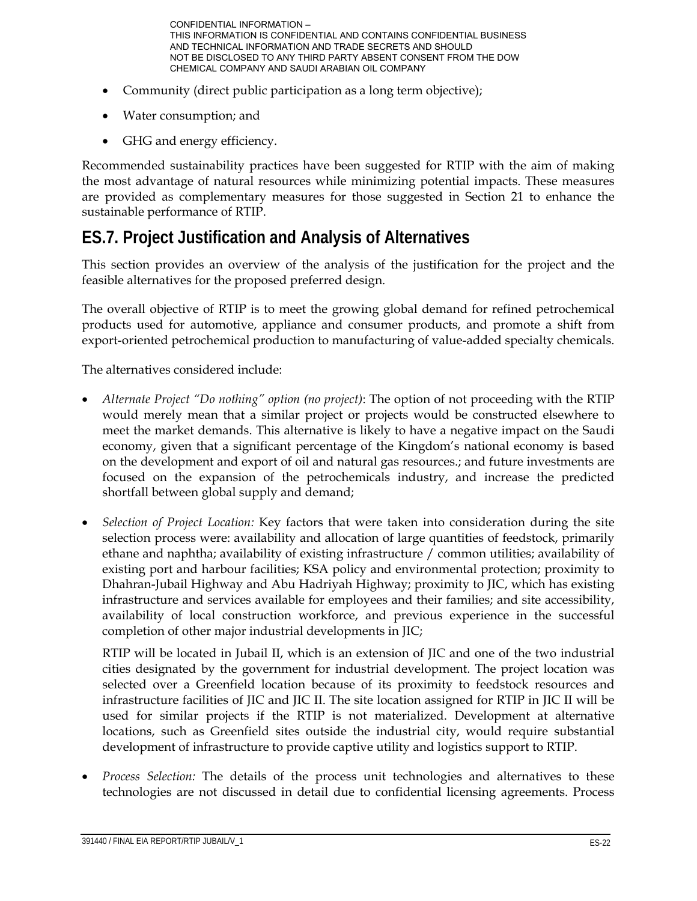- Community (direct public participation as a long term objective);
- Water consumption; and
- GHG and energy efficiency.

Recommended sustainability practices have been suggested for RTIP with the aim of making the most advantage of natural resources while minimizing potential impacts. These measures are provided as complementary measures for those suggested in Section 21 to enhance the sustainable performance of RTIP.

# **ES.7. Project Justification and Analysis of Alternatives**

This section provides an overview of the analysis of the justification for the project and the feasible alternatives for the proposed preferred design.

The overall objective of RTIP is to meet the growing global demand for refined petrochemical products used for automotive, appliance and consumer products, and promote a shift from export-oriented petrochemical production to manufacturing of value-added specialty chemicals.

The alternatives considered include:

- *Alternate Project "Do nothing" option (no project)*: The option of not proceeding with the RTIP would merely mean that a similar project or projects would be constructed elsewhere to meet the market demands. This alternative is likely to have a negative impact on the Saudi economy, given that a significant percentage of the Kingdom's national economy is based on the development and export of oil and natural gas resources.; and future investments are focused on the expansion of the petrochemicals industry, and increase the predicted shortfall between global supply and demand;
- *Selection of Project Location:* Key factors that were taken into consideration during the site selection process were: availability and allocation of large quantities of feedstock, primarily ethane and naphtha; availability of existing infrastructure / common utilities; availability of existing port and harbour facilities; KSA policy and environmental protection; proximity to Dhahran-Jubail Highway and Abu Hadriyah Highway; proximity to JIC, which has existing infrastructure and services available for employees and their families; and site accessibility, availability of local construction workforce, and previous experience in the successful completion of other major industrial developments in JIC;

RTIP will be located in Jubail II, which is an extension of JIC and one of the two industrial cities designated by the government for industrial development. The project location was selected over a Greenfield location because of its proximity to feedstock resources and infrastructure facilities of JIC and JIC II. The site location assigned for RTIP in JIC II will be used for similar projects if the RTIP is not materialized. Development at alternative locations, such as Greenfield sites outside the industrial city, would require substantial development of infrastructure to provide captive utility and logistics support to RTIP.

 *Process Selection:* The details of the process unit technologies and alternatives to these technologies are not discussed in detail due to confidential licensing agreements. Process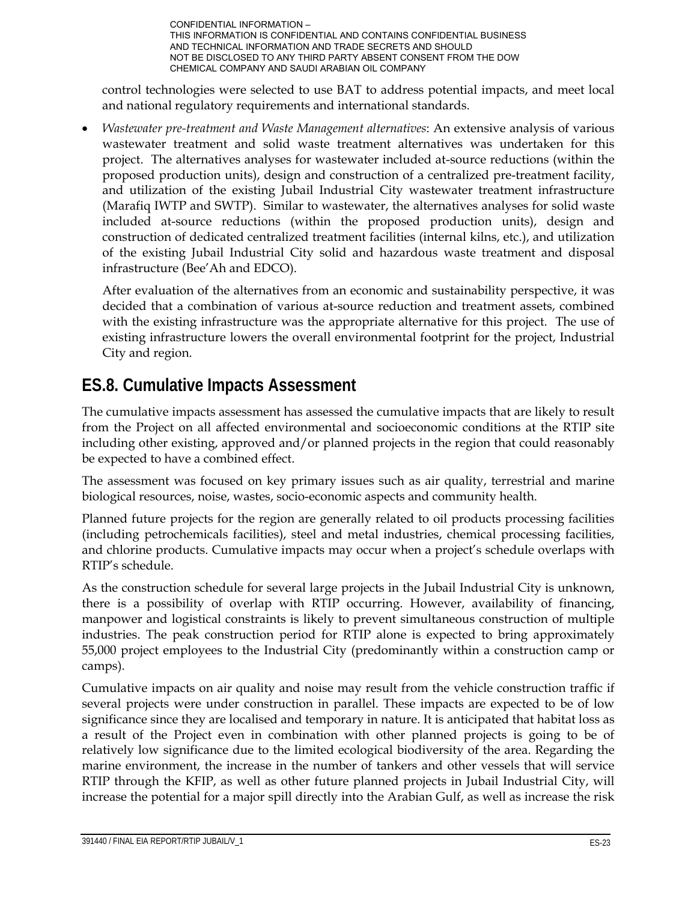control technologies were selected to use BAT to address potential impacts, and meet local and national regulatory requirements and international standards.

 *Wastewater pre-treatment and Waste Management alternatives*: An extensive analysis of various wastewater treatment and solid waste treatment alternatives was undertaken for this project. The alternatives analyses for wastewater included at-source reductions (within the proposed production units), design and construction of a centralized pre-treatment facility, and utilization of the existing Jubail Industrial City wastewater treatment infrastructure (Marafiq IWTP and SWTP). Similar to wastewater, the alternatives analyses for solid waste included at-source reductions (within the proposed production units), design and construction of dedicated centralized treatment facilities (internal kilns, etc.), and utilization of the existing Jubail Industrial City solid and hazardous waste treatment and disposal infrastructure (Bee'Ah and EDCO).

After evaluation of the alternatives from an economic and sustainability perspective, it was decided that a combination of various at-source reduction and treatment assets, combined with the existing infrastructure was the appropriate alternative for this project. The use of existing infrastructure lowers the overall environmental footprint for the project, Industrial City and region.

# **ES.8. Cumulative Impacts Assessment**

The cumulative impacts assessment has assessed the cumulative impacts that are likely to result from the Project on all affected environmental and socioeconomic conditions at the RTIP site including other existing, approved and/or planned projects in the region that could reasonably be expected to have a combined effect.

The assessment was focused on key primary issues such as air quality, terrestrial and marine biological resources, noise, wastes, socio-economic aspects and community health.

Planned future projects for the region are generally related to oil products processing facilities (including petrochemicals facilities), steel and metal industries, chemical processing facilities, and chlorine products. Cumulative impacts may occur when a project's schedule overlaps with RTIP's schedule.

As the construction schedule for several large projects in the Jubail Industrial City is unknown, there is a possibility of overlap with RTIP occurring. However, availability of financing, manpower and logistical constraints is likely to prevent simultaneous construction of multiple industries. The peak construction period for RTIP alone is expected to bring approximately 55,000 project employees to the Industrial City (predominantly within a construction camp or camps).

Cumulative impacts on air quality and noise may result from the vehicle construction traffic if several projects were under construction in parallel. These impacts are expected to be of low significance since they are localised and temporary in nature. It is anticipated that habitat loss as a result of the Project even in combination with other planned projects is going to be of relatively low significance due to the limited ecological biodiversity of the area. Regarding the marine environment, the increase in the number of tankers and other vessels that will service RTIP through the KFIP, as well as other future planned projects in Jubail Industrial City, will increase the potential for a major spill directly into the Arabian Gulf, as well as increase the risk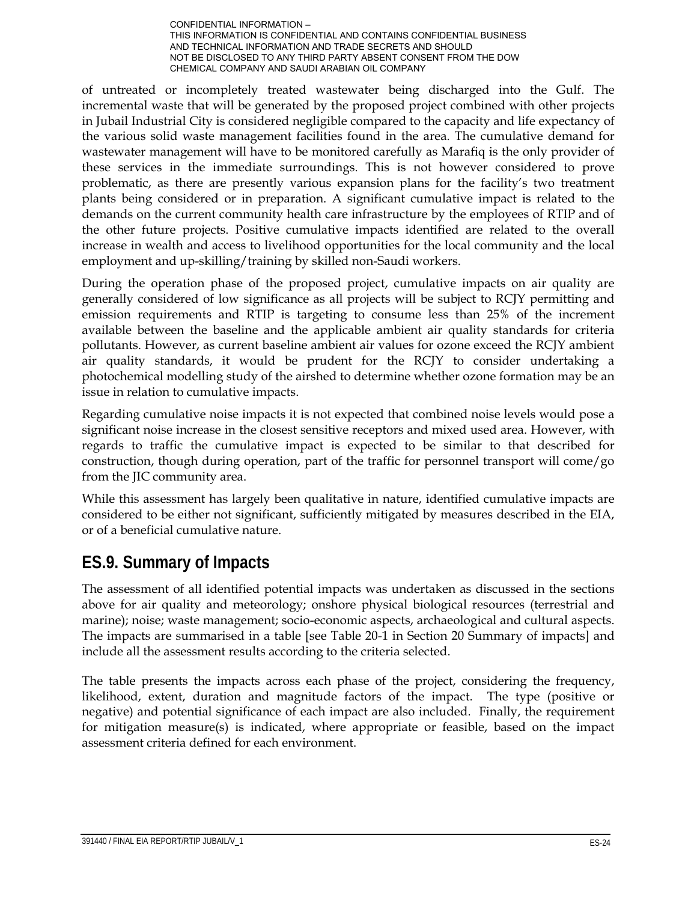of untreated or incompletely treated wastewater being discharged into the Gulf. The incremental waste that will be generated by the proposed project combined with other projects in Jubail Industrial City is considered negligible compared to the capacity and life expectancy of the various solid waste management facilities found in the area. The cumulative demand for wastewater management will have to be monitored carefully as Marafiq is the only provider of these services in the immediate surroundings. This is not however considered to prove problematic, as there are presently various expansion plans for the facility's two treatment plants being considered or in preparation. A significant cumulative impact is related to the demands on the current community health care infrastructure by the employees of RTIP and of the other future projects. Positive cumulative impacts identified are related to the overall increase in wealth and access to livelihood opportunities for the local community and the local employment and up-skilling/training by skilled non-Saudi workers.

During the operation phase of the proposed project, cumulative impacts on air quality are generally considered of low significance as all projects will be subject to RCJY permitting and emission requirements and RTIP is targeting to consume less than 25% of the increment available between the baseline and the applicable ambient air quality standards for criteria pollutants. However, as current baseline ambient air values for ozone exceed the RCJY ambient air quality standards, it would be prudent for the RCJY to consider undertaking a photochemical modelling study of the airshed to determine whether ozone formation may be an issue in relation to cumulative impacts.

Regarding cumulative noise impacts it is not expected that combined noise levels would pose a significant noise increase in the closest sensitive receptors and mixed used area. However, with regards to traffic the cumulative impact is expected to be similar to that described for construction, though during operation, part of the traffic for personnel transport will come/go from the JIC community area.

While this assessment has largely been qualitative in nature, identified cumulative impacts are considered to be either not significant, sufficiently mitigated by measures described in the EIA, or of a beneficial cumulative nature.

# **ES.9. Summary of Impacts**

The assessment of all identified potential impacts was undertaken as discussed in the sections above for air quality and meteorology; onshore physical biological resources (terrestrial and marine); noise; waste management; socio-economic aspects, archaeological and cultural aspects. The impacts are summarised in a table [see Table 20-1 in Section 20 Summary of impacts] and include all the assessment results according to the criteria selected.

The table presents the impacts across each phase of the project, considering the frequency, likelihood, extent, duration and magnitude factors of the impact. The type (positive or negative) and potential significance of each impact are also included. Finally, the requirement for mitigation measure(s) is indicated, where appropriate or feasible, based on the impact assessment criteria defined for each environment.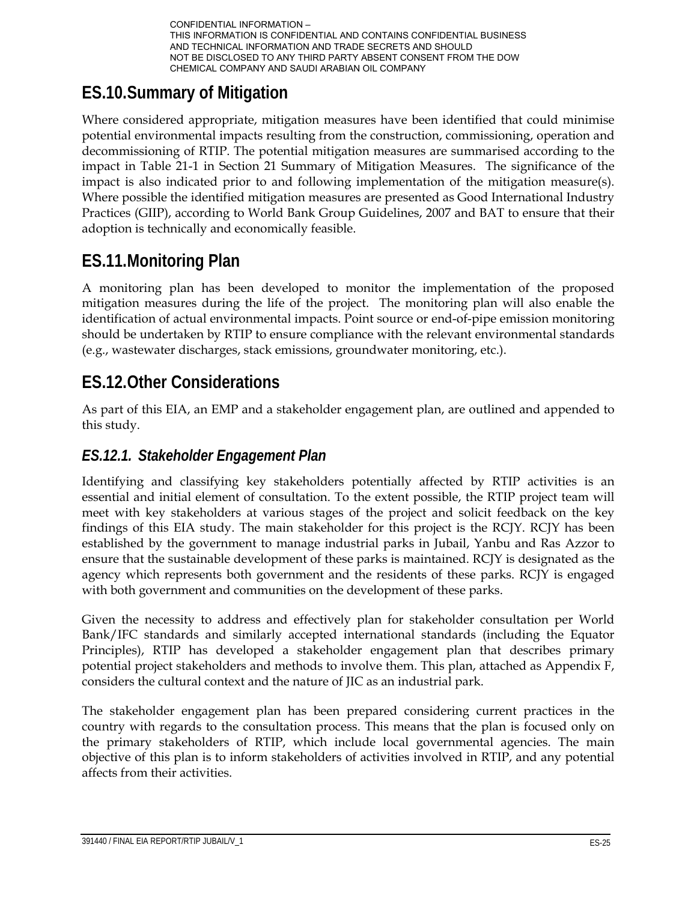# **ES.10.Summary of Mitigation**

Where considered appropriate, mitigation measures have been identified that could minimise potential environmental impacts resulting from the construction, commissioning, operation and decommissioning of RTIP. The potential mitigation measures are summarised according to the impact in Table 21-1 in Section 21 Summary of Mitigation Measures. The significance of the impact is also indicated prior to and following implementation of the mitigation measure(s). Where possible the identified mitigation measures are presented as Good International Industry Practices (GIIP), according to World Bank Group Guidelines, 2007 and BAT to ensure that their adoption is technically and economically feasible.

# **ES.11.Monitoring Plan**

A monitoring plan has been developed to monitor the implementation of the proposed mitigation measures during the life of the project. The monitoring plan will also enable the identification of actual environmental impacts. Point source or end-of-pipe emission monitoring should be undertaken by RTIP to ensure compliance with the relevant environmental standards (e.g., wastewater discharges, stack emissions, groundwater monitoring, etc.).

# **ES.12.Other Considerations**

As part of this EIA, an EMP and a stakeholder engagement plan, are outlined and appended to this study.

## *ES.12.1. Stakeholder Engagement Plan*

Identifying and classifying key stakeholders potentially affected by RTIP activities is an essential and initial element of consultation. To the extent possible, the RTIP project team will meet with key stakeholders at various stages of the project and solicit feedback on the key findings of this EIA study. The main stakeholder for this project is the RCJY. RCJY has been established by the government to manage industrial parks in Jubail, Yanbu and Ras Azzor to ensure that the sustainable development of these parks is maintained. RCJY is designated as the agency which represents both government and the residents of these parks. RCJY is engaged with both government and communities on the development of these parks.

Given the necessity to address and effectively plan for stakeholder consultation per World Bank/IFC standards and similarly accepted international standards (including the Equator Principles), RTIP has developed a stakeholder engagement plan that describes primary potential project stakeholders and methods to involve them. This plan, attached as Appendix F, considers the cultural context and the nature of JIC as an industrial park.

The stakeholder engagement plan has been prepared considering current practices in the country with regards to the consultation process. This means that the plan is focused only on the primary stakeholders of RTIP, which include local governmental agencies. The main objective of this plan is to inform stakeholders of activities involved in RTIP, and any potential affects from their activities.